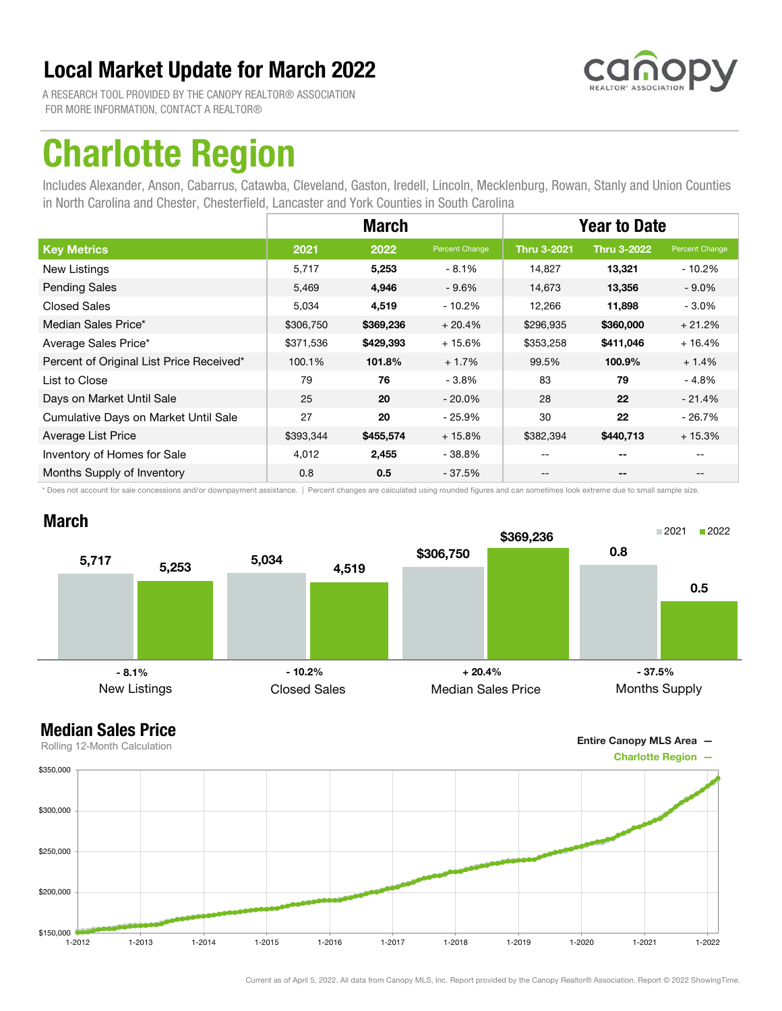

A RESEARCH TOOL PROVIDED BY THE CANOPY REALTOR® ASSOCIATION FOR MORE INFORMATION, CONTACT A REALTOR®

## Charlotte Region

Includes Alexander, Anson, Cabarrus, Catawba, Cleveland, Gaston, Iredell, Lincoln, Mecklenburg, Rowan, Stanly and Union Counties in North Carolina and Chester, Chesterfield, Lancaster and York Counties in South Carolina

|                                          |           | <b>March</b> |                | <b>Year to Date</b> |                          |                |
|------------------------------------------|-----------|--------------|----------------|---------------------|--------------------------|----------------|
| <b>Key Metrics</b>                       | 2021      | 2022         | Percent Change | <b>Thru 3-2021</b>  | <b>Thru 3-2022</b>       | Percent Change |
| New Listings                             | 5,717     | 5,253        | $-8.1%$        | 14.827              | 13,321                   | - 10.2%        |
| <b>Pending Sales</b>                     | 5,469     | 4,946        | $-9.6%$        | 14,673              | 13,356                   | $-9.0\%$       |
| <b>Closed Sales</b>                      | 5,034     | 4,519        | $-10.2%$       | 12,266              | 11,898                   | $-3.0\%$       |
| Median Sales Price*                      | \$306,750 | \$369,236    | $+20.4%$       | \$296,935           | \$360,000                | $+21.2%$       |
| Average Sales Price*                     | \$371,536 | \$429,393    | $+15.6%$       | \$353,258           | \$411,046                | $+16.4%$       |
| Percent of Original List Price Received* | 100.1%    | 101.8%       | $+1.7%$        | 99.5%               | 100.9%                   | $+1.4%$        |
| List to Close                            | 79        | 76           | $-3.8\%$       | 83                  | 79                       | $-4.8%$        |
| Days on Market Until Sale                | 25        | 20           | $-20.0\%$      | 28                  | 22                       | $-21.4\%$      |
| Cumulative Days on Market Until Sale     | 27        | 20           | $-25.9%$       | 30                  | 22                       | - 26.7%        |
| Average List Price                       | \$393,344 | \$455,574    | $+15.8%$       | \$382,394           | \$440,713                | $+15.3%$       |
| Inventory of Homes for Sale              | 4,012     | 2,455        | $-38.8%$       |                     | $- -$                    |                |
| Months Supply of Inventory               | 0.8       | 0.5          | $-37.5%$       | --                  | $\overline{\phantom{a}}$ | $- -$          |

\* Does not account for sale concessions and/or downpayment assistance. | Percent changes are calculated using rounded figures and can sometimes look extreme due to small sample size.

### March



Entire Canopy MLS Area —

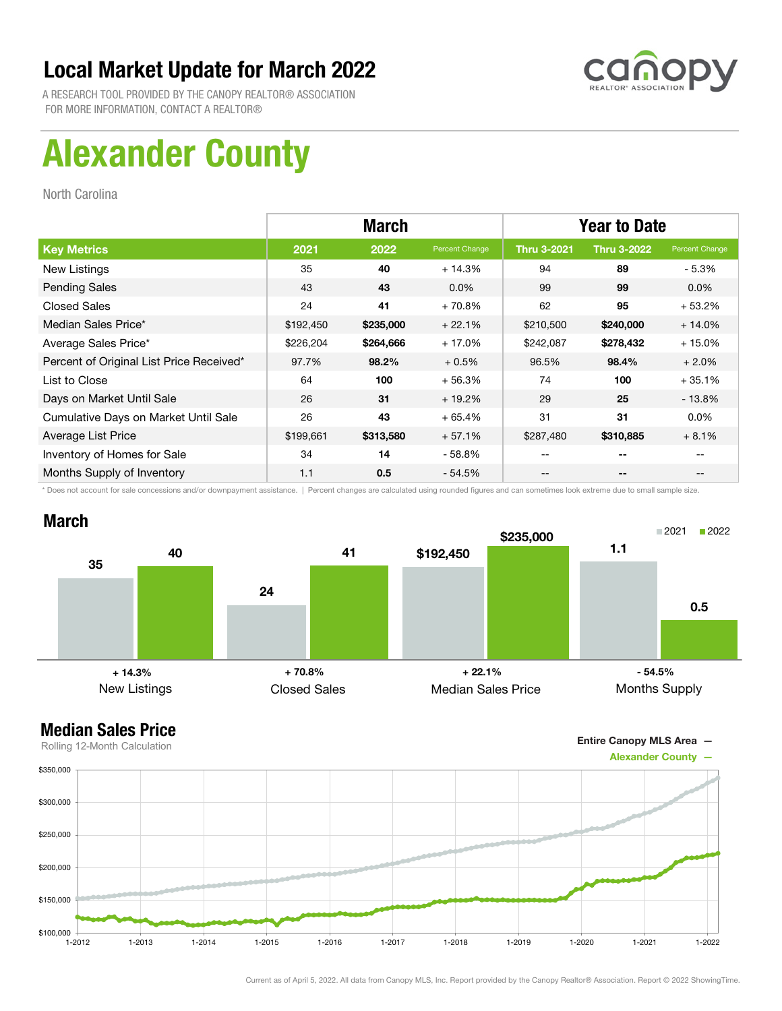

A RESEARCH TOOL PROVIDED BY THE CANOPY REALTOR® ASSOCIATION FOR MORE INFORMATION, CONTACT A REALTOR®

# Alexander County

North Carolina

|                                          |           | <b>March</b> |                | <b>Year to Date</b> |                    |                |
|------------------------------------------|-----------|--------------|----------------|---------------------|--------------------|----------------|
| <b>Key Metrics</b>                       | 2021      | 2022         | Percent Change | <b>Thru 3-2021</b>  | <b>Thru 3-2022</b> | Percent Change |
| New Listings                             | 35        | 40           | $+14.3%$       | 94                  | 89                 | $-5.3\%$       |
| <b>Pending Sales</b>                     | 43        | 43           | $0.0\%$        | 99                  | 99                 | $0.0\%$        |
| <b>Closed Sales</b>                      | 24        | 41           | $+70.8%$       | 62                  | 95                 | $+53.2%$       |
| Median Sales Price*                      | \$192,450 | \$235,000    | $+22.1%$       | \$210,500           | \$240,000          | $+14.0%$       |
| Average Sales Price*                     | \$226,204 | \$264,666    | $+17.0%$       | \$242,087           | \$278,432          | $+15.0%$       |
| Percent of Original List Price Received* | 97.7%     | 98.2%        | $+0.5%$        | 96.5%               | 98.4%              | $+2.0%$        |
| List to Close                            | 64        | 100          | $+56.3%$       | 74                  | 100                | $+35.1%$       |
| Days on Market Until Sale                | 26        | 31           | $+19.2%$       | 29                  | 25                 | - 13.8%        |
| Cumulative Days on Market Until Sale     | 26        | 43           | $+65.4%$       | 31                  | 31                 | $0.0\%$        |
| Average List Price                       | \$199,661 | \$313,580    | $+57.1%$       | \$287,480           | \$310,885          | $+8.1%$        |
| Inventory of Homes for Sale              | 34        | 14           | - 58.8%        | --                  | --                 |                |
| Months Supply of Inventory               | 1.1       | 0.5          | $-54.5%$       | --                  | --                 |                |

\* Does not account for sale concessions and/or downpayment assistance. | Percent changes are calculated using rounded figures and can sometimes look extreme due to small sample size.

### March



### Median Sales Price

Entire Canopy MLS Area —



Current as of April 5, 2022. All data from Canopy MLS, Inc. Report provided by the Canopy Realtor® Association. Report © 2022 ShowingTime.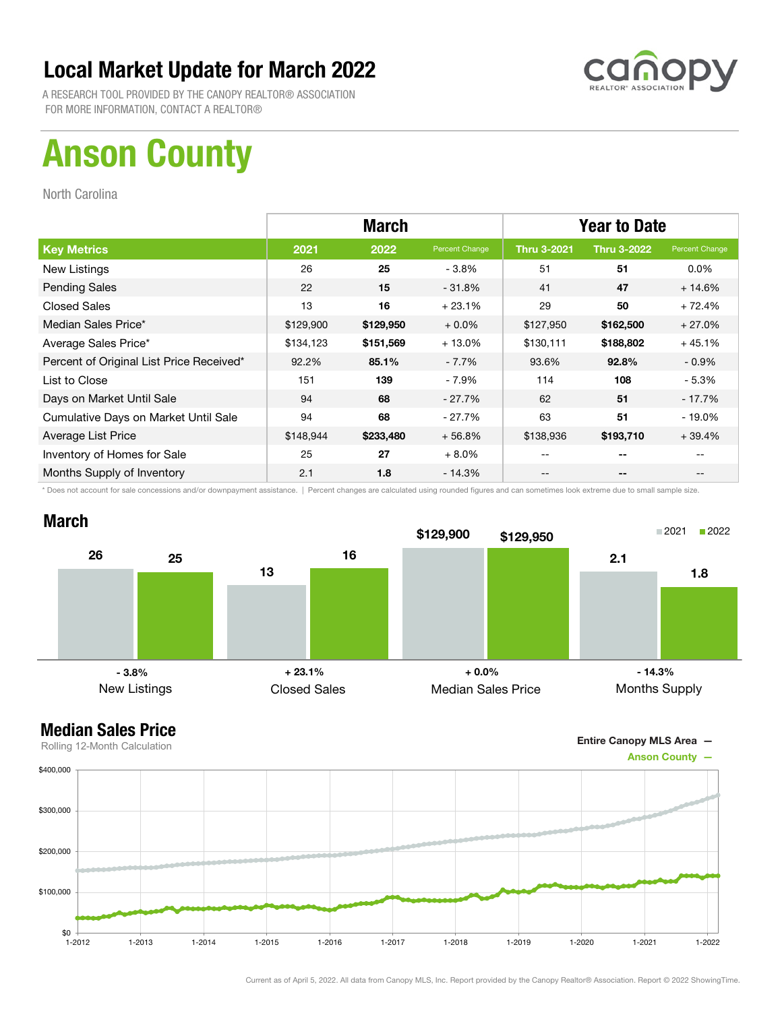

A RESEARCH TOOL PROVIDED BY THE CANOPY REALTOR® ASSOCIATION FOR MORE INFORMATION, CONTACT A REALTOR®

# Anson County

North Carolina

|                                          | <b>March</b> |           |                | <b>Year to Date</b> |                    |                |
|------------------------------------------|--------------|-----------|----------------|---------------------|--------------------|----------------|
| <b>Key Metrics</b>                       | 2021         | 2022      | Percent Change | <b>Thru 3-2021</b>  | <b>Thru 3-2022</b> | Percent Change |
| New Listings                             | 26           | 25        | $-3.8%$        | 51                  | 51                 | $0.0\%$        |
| <b>Pending Sales</b>                     | 22           | 15        | $-31.8%$       | 41                  | 47                 | $+14.6%$       |
| <b>Closed Sales</b>                      | 13           | 16        | $+23.1%$       | 29                  | 50                 | $+72.4%$       |
| Median Sales Price*                      | \$129,900    | \$129,950 | $+0.0\%$       | \$127,950           | \$162,500          | $+27.0%$       |
| Average Sales Price*                     | \$134,123    | \$151,569 | $+13.0%$       | \$130,111           | \$188,802          | $+45.1%$       |
| Percent of Original List Price Received* | 92.2%        | 85.1%     | $-7.7\%$       | 93.6%               | 92.8%              | $-0.9\%$       |
| List to Close                            | 151          | 139       | - 7.9%         | 114                 | 108                | - 5.3%         |
| Days on Market Until Sale                | 94           | 68        | $-27.7\%$      | 62                  | 51                 | $-17.7%$       |
| Cumulative Days on Market Until Sale     | 94           | 68        | - 27.7%        | 63                  | 51                 | $-19.0\%$      |
| Average List Price                       | \$148,944    | \$233,480 | $+56.8%$       | \$138,936           | \$193,710          | $+39.4%$       |
| Inventory of Homes for Sale              | 25           | 27        | $+8.0%$        | --                  | --                 |                |
| Months Supply of Inventory               | 2.1          | 1.8       | - 14.3%        | --                  | --                 | $- -$          |

\* Does not account for sale concessions and/or downpayment assistance. | Percent changes are calculated using rounded figures and can sometimes look extreme due to small sample size.



Entire Canopy MLS Area —

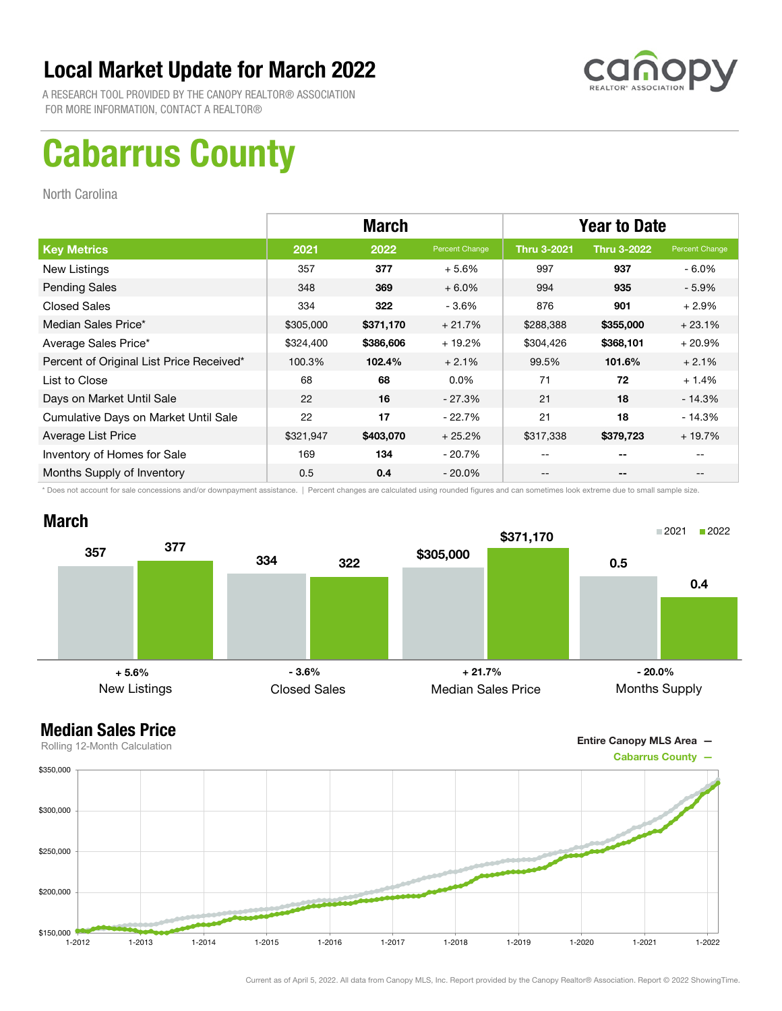

A RESEARCH TOOL PROVIDED BY THE CANOPY REALTOR® ASSOCIATION FOR MORE INFORMATION, CONTACT A REALTOR®

# Cabarrus County

North Carolina

|                                          | <b>March</b> |           |                | <b>Year to Date</b> |                    |                |
|------------------------------------------|--------------|-----------|----------------|---------------------|--------------------|----------------|
| <b>Key Metrics</b>                       | 2021         | 2022      | Percent Change | <b>Thru 3-2021</b>  | <b>Thru 3-2022</b> | Percent Change |
| New Listings                             | 357          | 377       | $+5.6%$        | 997                 | 937                | $-6.0\%$       |
| <b>Pending Sales</b>                     | 348          | 369       | $+6.0%$        | 994                 | 935                | $-5.9\%$       |
| <b>Closed Sales</b>                      | 334          | 322       | $-3.6%$        | 876                 | 901                | $+2.9%$        |
| Median Sales Price*                      | \$305,000    | \$371,170 | $+21.7%$       | \$288,388           | \$355,000          | $+23.1%$       |
| Average Sales Price*                     | \$324,400    | \$386,606 | $+19.2%$       | \$304,426           | \$368,101          | $+20.9%$       |
| Percent of Original List Price Received* | 100.3%       | 102.4%    | $+2.1%$        | 99.5%               | 101.6%             | $+2.1%$        |
| List to Close                            | 68           | 68        | $0.0\%$        | 71                  | 72                 | $+1.4%$        |
| Days on Market Until Sale                | 22           | 16        | $-27.3%$       | 21                  | 18                 | $-14.3%$       |
| Cumulative Days on Market Until Sale     | 22           | 17        | $-22.7%$       | 21                  | 18                 | $-14.3%$       |
| Average List Price                       | \$321,947    | \$403,070 | $+25.2%$       | \$317,338           | \$379,723          | $+19.7%$       |
| Inventory of Homes for Sale              | 169          | 134       | - 20.7%        | --                  | --                 |                |
| Months Supply of Inventory               | 0.5          | 0.4       | - 20.0%        | --                  | --                 |                |

\* Does not account for sale concessions and/or downpayment assistance. | Percent changes are calculated using rounded figures and can sometimes look extreme due to small sample size.



Entire Canopy MLS Area —

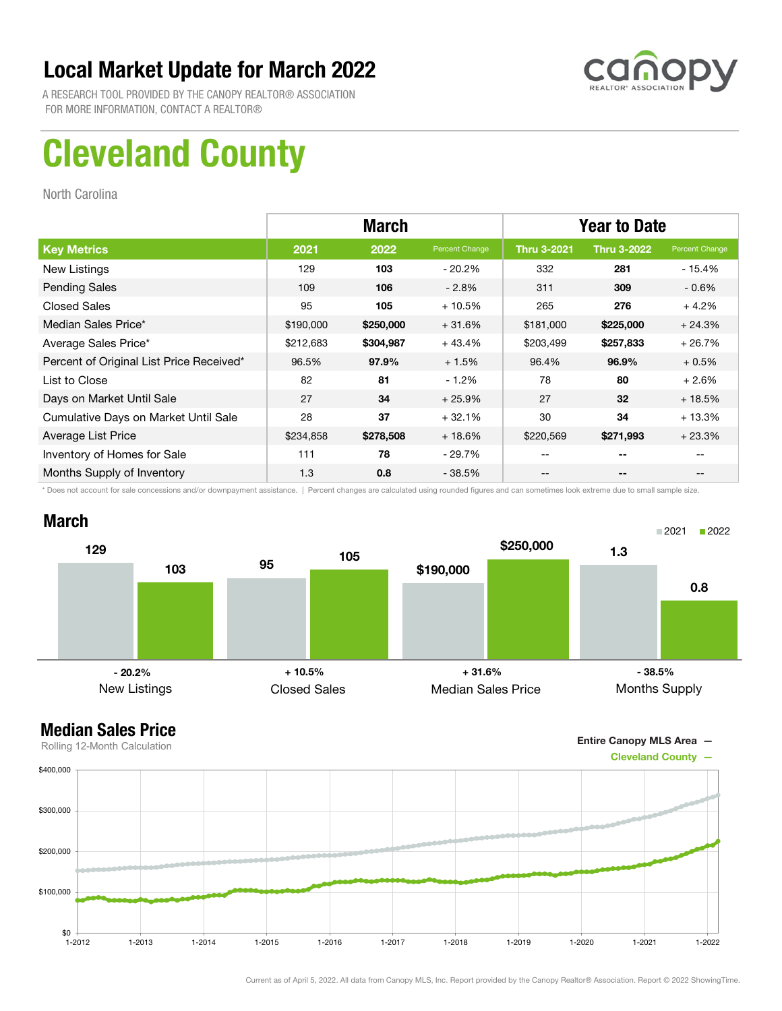

A RESEARCH TOOL PROVIDED BY THE CANOPY REALTOR® ASSOCIATION FOR MORE INFORMATION, CONTACT A REALTOR®

# Cleveland County

North Carolina

|                                          | <b>March</b> |           |                | <b>Year to Date</b> |                    |                |
|------------------------------------------|--------------|-----------|----------------|---------------------|--------------------|----------------|
| <b>Key Metrics</b>                       | 2021         | 2022      | Percent Change | <b>Thru 3-2021</b>  | <b>Thru 3-2022</b> | Percent Change |
| New Listings                             | 129          | 103       | - 20.2%        | 332                 | 281                | - 15.4%        |
| <b>Pending Sales</b>                     | 109          | 106       | $-2.8%$        | 311                 | 309                | $-0.6%$        |
| <b>Closed Sales</b>                      | 95           | 105       | $+10.5%$       | 265                 | 276                | $+4.2%$        |
| Median Sales Price*                      | \$190,000    | \$250,000 | $+31.6%$       | \$181,000           | \$225,000          | $+24.3%$       |
| Average Sales Price*                     | \$212,683    | \$304,987 | $+43.4%$       | \$203,499           | \$257,833          | $+26.7%$       |
| Percent of Original List Price Received* | 96.5%        | 97.9%     | $+1.5%$        | 96.4%               | 96.9%              | $+0.5%$        |
| List to Close                            | 82           | 81        | $-1.2%$        | 78                  | 80                 | $+2.6%$        |
| Days on Market Until Sale                | 27           | 34        | $+25.9%$       | 27                  | 32                 | $+18.5%$       |
| Cumulative Days on Market Until Sale     | 28           | 37        | $+32.1%$       | 30                  | 34                 | $+13.3%$       |
| Average List Price                       | \$234,858    | \$278,508 | $+18.6%$       | \$220,569           | \$271,993          | $+23.3%$       |
| Inventory of Homes for Sale              | 111          | 78        | $-29.7\%$      | --                  | --                 |                |
| Months Supply of Inventory               | 1.3          | 0.8       | $-38.5%$       | --                  | --                 |                |

\* Does not account for sale concessions and/or downpayment assistance. | Percent changes are calculated using rounded figures and can sometimes look extreme due to small sample size.

### March



Entire Canopy MLS Area —

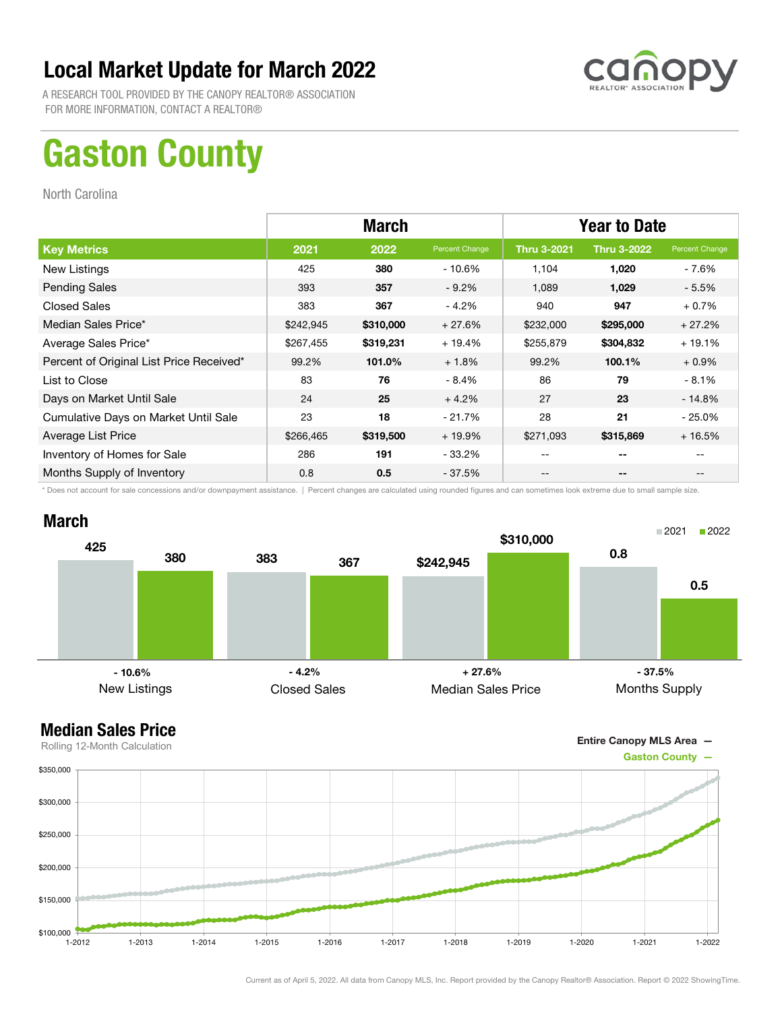

A RESEARCH TOOL PROVIDED BY THE CANOPY REALTOR® ASSOCIATION FOR MORE INFORMATION, CONTACT A REALTOR®

## Gaston County

North Carolina

|                                          | <b>March</b> |           |                | <b>Year to Date</b>                   |                          |                |
|------------------------------------------|--------------|-----------|----------------|---------------------------------------|--------------------------|----------------|
| <b>Key Metrics</b>                       | 2021         | 2022      | Percent Change | <b>Thru 3-2021</b>                    | <b>Thru 3-2022</b>       | Percent Change |
| New Listings                             | 425          | 380       | $-10.6%$       | 1.104                                 | 1,020                    | - 7.6%         |
| <b>Pending Sales</b>                     | 393          | 357       | $-9.2%$        | 1,089                                 | 1,029                    | $-5.5%$        |
| <b>Closed Sales</b>                      | 383          | 367       | $-4.2%$        | 940                                   | 947                      | $+0.7%$        |
| Median Sales Price*                      | \$242,945    | \$310,000 | $+27.6%$       | \$232,000                             | \$295,000                | $+27.2%$       |
| Average Sales Price*                     | \$267,455    | \$319,231 | $+19.4%$       | \$255,879                             | \$304,832                | $+19.1%$       |
| Percent of Original List Price Received* | 99.2%        | 101.0%    | $+1.8%$        | 99.2%                                 | 100.1%                   | $+0.9\%$       |
| List to Close                            | 83           | 76        | $-8.4%$        | 86                                    | 79                       | - 8.1%         |
| Days on Market Until Sale                | 24           | 25        | $+4.2%$        | 27                                    | 23                       | $-14.8%$       |
| Cumulative Days on Market Until Sale     | 23           | 18        | $-21.7%$       | 28                                    | 21                       | $-25.0\%$      |
| Average List Price                       | \$266,465    | \$319,500 | $+19.9%$       | \$271,093                             | \$315,869                | $+16.5%$       |
| Inventory of Homes for Sale              | 286          | 191       | $-33.2\%$      | $- -$                                 | $- -$                    |                |
| Months Supply of Inventory               | 0.8          | 0.5       | $-37.5%$       | $\hspace{0.05cm}$ – $\hspace{0.05cm}$ | $\overline{\phantom{a}}$ | --             |

\* Does not account for sale concessions and/or downpayment assistance. | Percent changes are calculated using rounded figures and can sometimes look extreme due to small sample size.



Entire Canopy MLS Area —

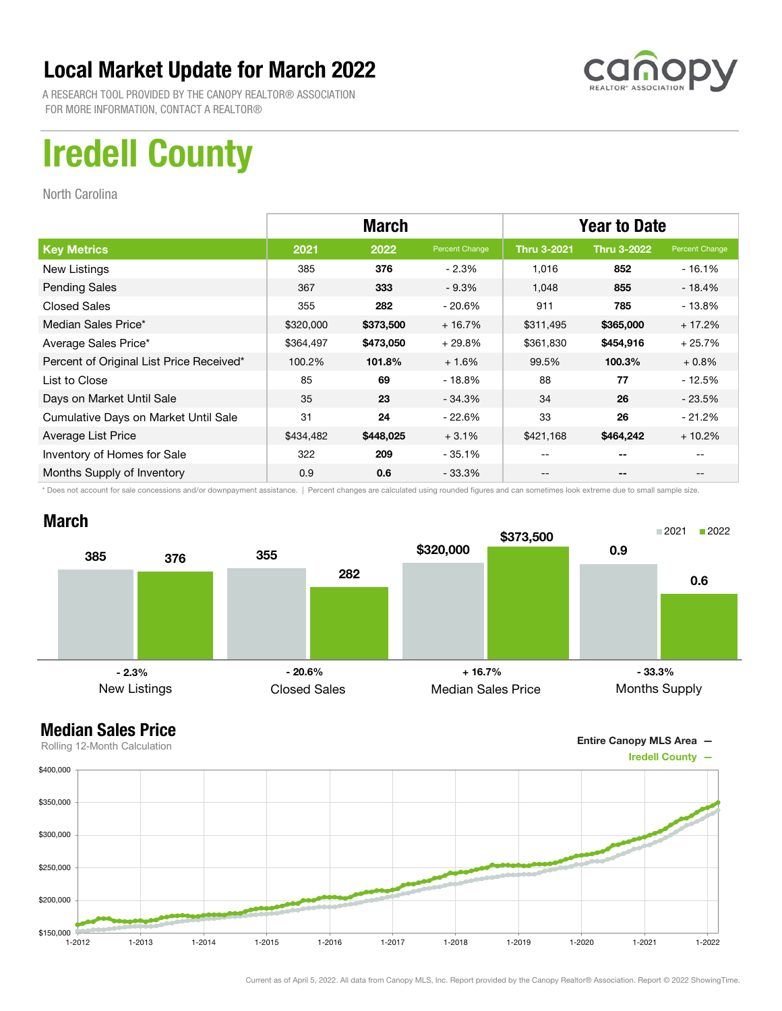

A RESEARCH TOOL PROVIDED BY THE CANOPY REALTOR® ASSOCIATION FOR MORE INFORMATION, CONTACT A REALTOR®

## Iredell County

North Carolina

|                                          | <b>March</b> |           |                | <b>Year to Date</b> |                    |                |
|------------------------------------------|--------------|-----------|----------------|---------------------|--------------------|----------------|
| <b>Key Metrics</b>                       | 2021         | 2022      | Percent Change | <b>Thru 3-2021</b>  | <b>Thru 3-2022</b> | Percent Change |
| New Listings                             | 385          | 376       | $-2.3%$        | 1,016               | 852                | $-16.1%$       |
| <b>Pending Sales</b>                     | 367          | 333       | $-9.3%$        | 1.048               | 855                | - 18.4%        |
| <b>Closed Sales</b>                      | 355          | 282       | $-20.6\%$      | 911                 | 785                | $-13.8%$       |
| Median Sales Price*                      | \$320,000    | \$373,500 | $+16.7%$       | \$311,495           | \$365,000          | $+17.2%$       |
| Average Sales Price*                     | \$364,497    | \$473,050 | $+29.8%$       | \$361,830           | \$454,916          | $+25.7%$       |
| Percent of Original List Price Received* | 100.2%       | 101.8%    | $+1.6%$        | 99.5%               | 100.3%             | $+0.8%$        |
| List to Close                            | 85           | 69        | - 18.8%        | 88                  | 77                 | $-12.5%$       |
| Days on Market Until Sale                | 35           | 23        | $-34.3%$       | 34                  | 26                 | $-23.5%$       |
| Cumulative Days on Market Until Sale     | 31           | 24        | $-22.6%$       | 33                  | 26                 | $-21.2%$       |
| Average List Price                       | \$434,482    | \$448,025 | $+3.1%$        | \$421,168           | \$464,242          | $+10.2%$       |
| Inventory of Homes for Sale              | 322          | 209       | $-35.1%$       | --                  | --                 |                |
| Months Supply of Inventory               | 0.9          | 0.6       | $-33.3\%$      | --                  | --                 |                |

\* Does not account for sale concessions and/or downpayment assistance. | Percent changes are calculated using rounded figures and can sometimes look extreme due to small sample size.

### March



Entire Canopy MLS Area —

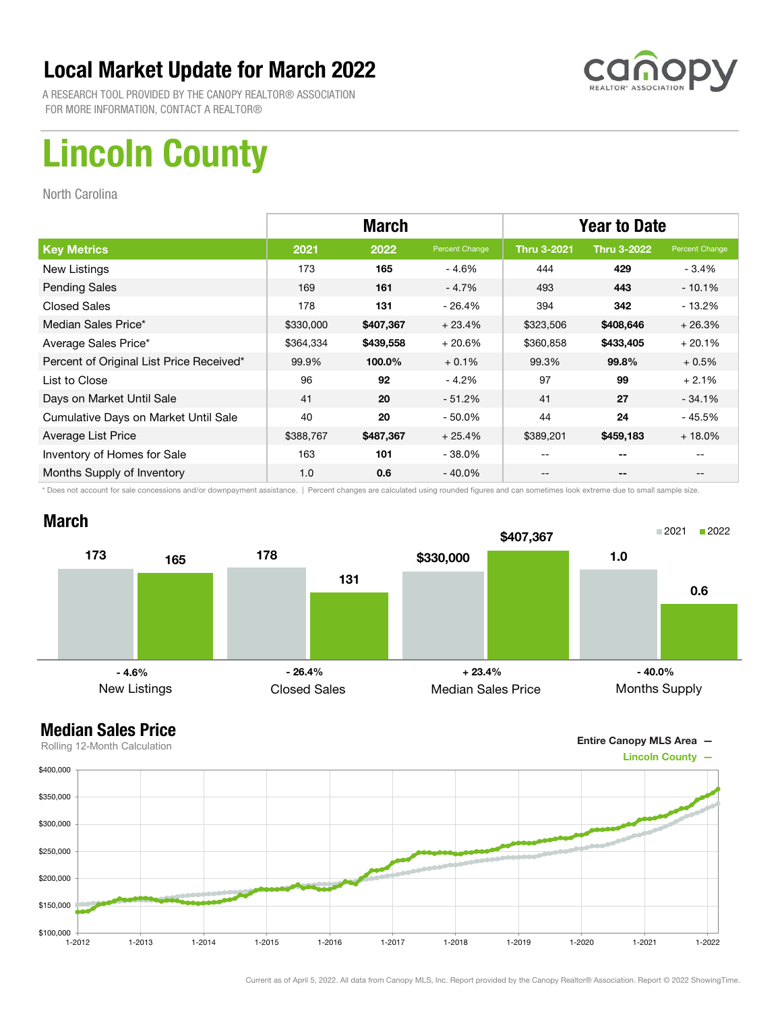

A RESEARCH TOOL PROVIDED BY THE CANOPY REALTOR® ASSOCIATION FOR MORE INFORMATION, CONTACT A REALTOR®

# Lincoln County

North Carolina

|                                          | <b>March</b> |           |                | <b>Year to Date</b> |                    |                |
|------------------------------------------|--------------|-----------|----------------|---------------------|--------------------|----------------|
| <b>Key Metrics</b>                       | 2021         | 2022      | Percent Change | <b>Thru 3-2021</b>  | <b>Thru 3-2022</b> | Percent Change |
| New Listings                             | 173          | 165       | $-4.6%$        | 444                 | 429                | $-3.4%$        |
| <b>Pending Sales</b>                     | 169          | 161       | $-4.7%$        | 493                 | 443                | $-10.1%$       |
| <b>Closed Sales</b>                      | 178          | 131       | $-26.4%$       | 394                 | 342                | $-13.2%$       |
| Median Sales Price*                      | \$330,000    | \$407,367 | $+23.4%$       | \$323,506           | \$408,646          | $+26.3%$       |
| Average Sales Price*                     | \$364,334    | \$439,558 | $+20.6%$       | \$360,858           | \$433,405          | $+20.1%$       |
| Percent of Original List Price Received* | 99.9%        | 100.0%    | $+0.1%$        | 99.3%               | 99.8%              | $+0.5%$        |
| List to Close                            | 96           | 92        | $-4.2%$        | 97                  | 99                 | $+2.1%$        |
| Days on Market Until Sale                | 41           | 20        | $-51.2%$       | 41                  | 27                 | $-34.1%$       |
| Cumulative Days on Market Until Sale     | 40           | 20        | $-50.0\%$      | 44                  | 24                 | - 45.5%        |
| Average List Price                       | \$388,767    | \$487,367 | $+25.4%$       | \$389,201           | \$459,183          | $+18.0%$       |
| Inventory of Homes for Sale              | 163          | 101       | $-38.0\%$      | --                  | --                 |                |
| Months Supply of Inventory               | 1.0          | 0.6       | $-40.0\%$      | --                  | --                 |                |

\* Does not account for sale concessions and/or downpayment assistance. | Percent changes are calculated using rounded figures and can sometimes look extreme due to small sample size.

### March





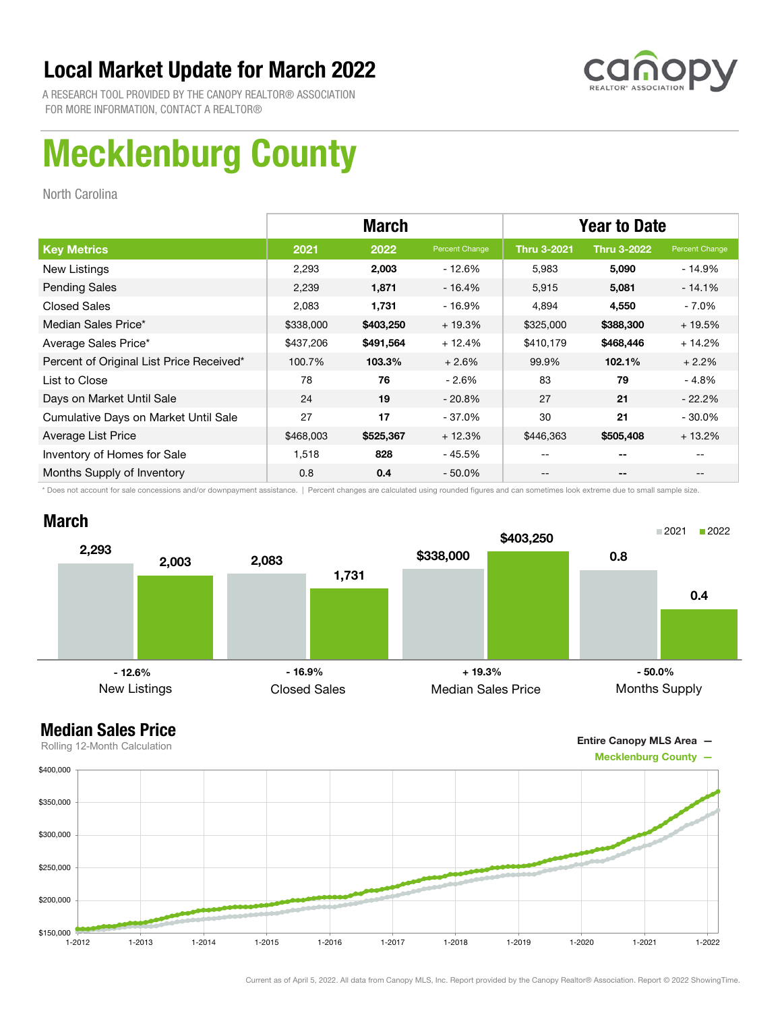

A RESEARCH TOOL PROVIDED BY THE CANOPY REALTOR® ASSOCIATION FOR MORE INFORMATION, CONTACT A REALTOR®

# Mecklenburg County

North Carolina

|                                          |           | <b>March</b> |                | <b>Year to Date</b> |                    |                |  |
|------------------------------------------|-----------|--------------|----------------|---------------------|--------------------|----------------|--|
| <b>Key Metrics</b>                       | 2021      | 2022         | Percent Change | <b>Thru 3-2021</b>  | <b>Thru 3-2022</b> | Percent Change |  |
| New Listings                             | 2,293     | 2,003        | $-12.6%$       | 5,983               | 5,090              | - 14.9%        |  |
| <b>Pending Sales</b>                     | 2,239     | 1,871        | $-16.4%$       | 5,915               | 5,081              | $-14.1\%$      |  |
| <b>Closed Sales</b>                      | 2,083     | 1,731        | $-16.9%$       | 4,894               | 4,550              | - 7.0%         |  |
| Median Sales Price*                      | \$338,000 | \$403,250    | $+19.3%$       | \$325,000           | \$388,300          | $+19.5%$       |  |
| Average Sales Price*                     | \$437,206 | \$491,564    | $+12.4%$       | \$410,179           | \$468,446          | $+14.2%$       |  |
| Percent of Original List Price Received* | 100.7%    | 103.3%       | $+2.6%$        | 99.9%               | 102.1%             | $+2.2%$        |  |
| List to Close                            | 78        | 76           | $-2.6%$        | 83                  | 79                 | $-4.8%$        |  |
| Days on Market Until Sale                | 24        | 19           | $-20.8%$       | 27                  | 21                 | $-22.2%$       |  |
| Cumulative Days on Market Until Sale     | 27        | 17           | $-37.0%$       | 30                  | 21                 | $-30.0\%$      |  |
| Average List Price                       | \$468,003 | \$525,367    | $+12.3%$       | \$446,363           | \$505,408          | $+13.2%$       |  |
| Inventory of Homes for Sale              | 1,518     | 828          | - 45.5%        |                     | $- -$              |                |  |
| Months Supply of Inventory               | 0.8       | 0.4          | $-50.0\%$      | --                  | --                 |                |  |

\* Does not account for sale concessions and/or downpayment assistance. | Percent changes are calculated using rounded figures and can sometimes look extreme due to small sample size.



Entire Canopy MLS Area —

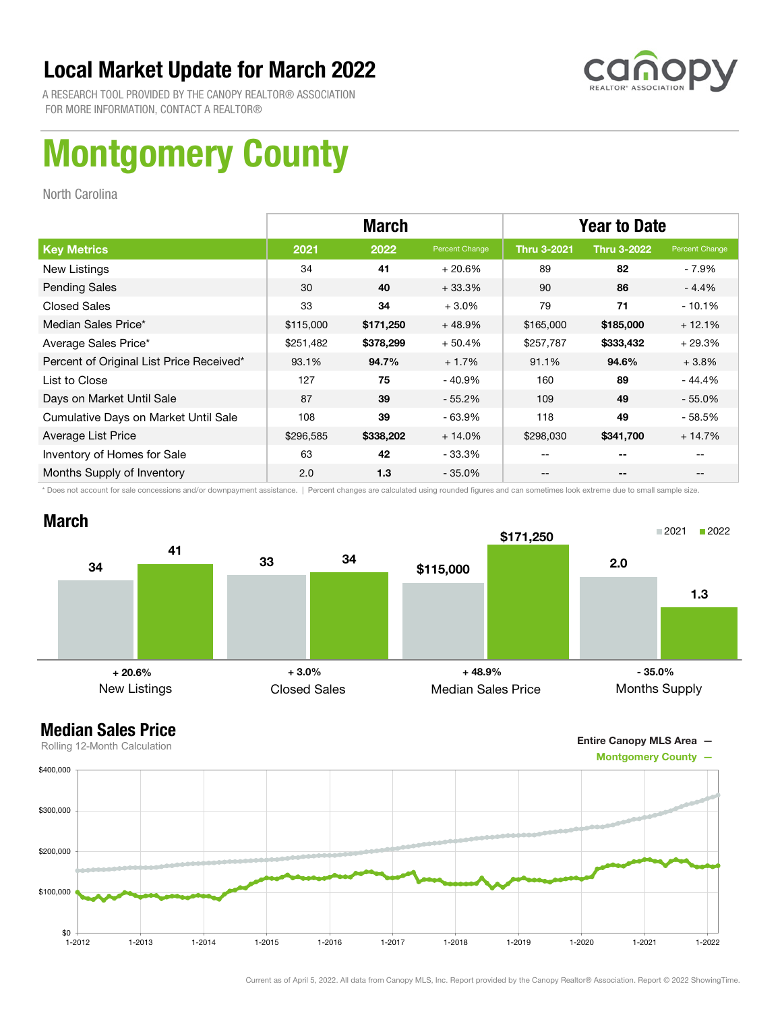

A RESEARCH TOOL PROVIDED BY THE CANOPY REALTOR® ASSOCIATION FOR MORE INFORMATION, CONTACT A REALTOR®

# Montgomery County

North Carolina

|                                          | <b>March</b> |           |                | <b>Year to Date</b> |                    |                |
|------------------------------------------|--------------|-----------|----------------|---------------------|--------------------|----------------|
| <b>Key Metrics</b>                       | 2021         | 2022      | Percent Change | <b>Thru 3-2021</b>  | <b>Thru 3-2022</b> | Percent Change |
| New Listings                             | 34           | 41        | $+20.6%$       | 89                  | 82                 | - 7.9%         |
| <b>Pending Sales</b>                     | 30           | 40        | $+33.3%$       | 90                  | 86                 | $-4.4%$        |
| <b>Closed Sales</b>                      | 33           | 34        | $+3.0%$        | 79                  | 71                 | $-10.1%$       |
| Median Sales Price*                      | \$115,000    | \$171,250 | $+48.9%$       | \$165,000           | \$185,000          | $+12.1%$       |
| Average Sales Price*                     | \$251,482    | \$378,299 | $+50.4%$       | \$257,787           | \$333,432          | $+29.3%$       |
| Percent of Original List Price Received* | 93.1%        | 94.7%     | $+1.7%$        | 91.1%               | 94.6%              | $+3.8%$        |
| List to Close                            | 127          | 75        | - 40.9%        | 160                 | 89                 | $-44.4%$       |
| Days on Market Until Sale                | 87           | 39        | $-55.2\%$      | 109                 | 49                 | $-55.0%$       |
| Cumulative Days on Market Until Sale     | 108          | 39        | - 63.9%        | 118                 | 49                 | $-58.5%$       |
| Average List Price                       | \$296,585    | \$338,202 | $+14.0%$       | \$298,030           | \$341,700          | $+14.7%$       |
| Inventory of Homes for Sale              | 63           | 42        | - 33.3%        | --                  | --                 |                |
| Months Supply of Inventory               | 2.0          | 1.3       | - 35.0%        | --                  | --                 |                |

\* Does not account for sale concessions and/or downpayment assistance. | Percent changes are calculated using rounded figures and can sometimes look extreme due to small sample size.



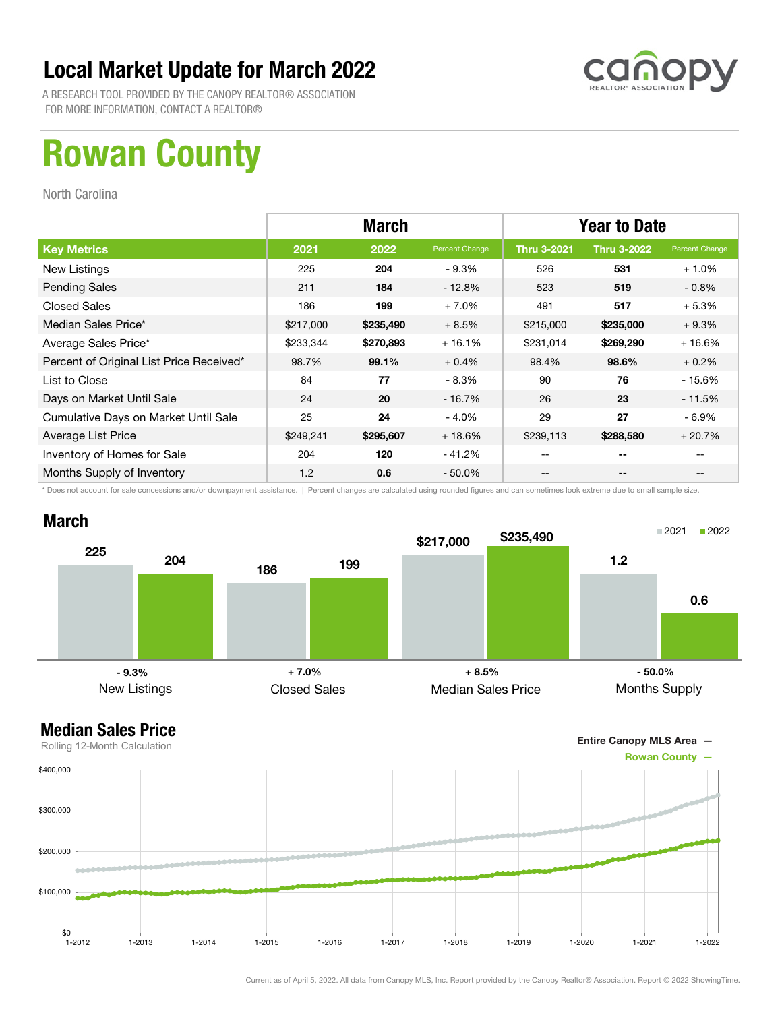

A RESEARCH TOOL PROVIDED BY THE CANOPY REALTOR® ASSOCIATION FOR MORE INFORMATION, CONTACT A REALTOR®

## Rowan County

North Carolina

|                                          | <b>March</b> |           |                | <b>Year to Date</b> |                    |                |
|------------------------------------------|--------------|-----------|----------------|---------------------|--------------------|----------------|
| <b>Key Metrics</b>                       | 2021         | 2022      | Percent Change | <b>Thru 3-2021</b>  | <b>Thru 3-2022</b> | Percent Change |
| New Listings                             | 225          | 204       | $-9.3%$        | 526                 | 531                | $+1.0%$        |
| <b>Pending Sales</b>                     | 211          | 184       | $-12.8%$       | 523                 | 519                | $-0.8\%$       |
| <b>Closed Sales</b>                      | 186          | 199       | $+7.0%$        | 491                 | 517                | $+5.3%$        |
| Median Sales Price*                      | \$217,000    | \$235,490 | $+8.5%$        | \$215,000           | \$235,000          | $+9.3%$        |
| Average Sales Price*                     | \$233,344    | \$270,893 | $+16.1%$       | \$231,014           | \$269,290          | $+16.6%$       |
| Percent of Original List Price Received* | 98.7%        | 99.1%     | $+0.4%$        | 98.4%               | 98.6%              | $+0.2%$        |
| List to Close                            | 84           | 77        | $-8.3\%$       | 90                  | 76                 | $-15.6%$       |
| Days on Market Until Sale                | 24           | 20        | $-16.7\%$      | 26                  | 23                 | $-11.5%$       |
| Cumulative Days on Market Until Sale     | 25           | 24        | $-4.0%$        | 29                  | 27                 | - 6.9%         |
| Average List Price                       | \$249,241    | \$295,607 | $+18.6%$       | \$239,113           | \$288,580          | $+20.7%$       |
| Inventory of Homes for Sale              | 204          | 120       | - 41.2%        | --                  | --                 |                |
| Months Supply of Inventory               | 1.2          | 0.6       | $-50.0\%$      | --                  | --                 |                |

\* Does not account for sale concessions and/or downpayment assistance. | Percent changes are calculated using rounded figures and can sometimes look extreme due to small sample size.



Entire Canopy MLS Area —

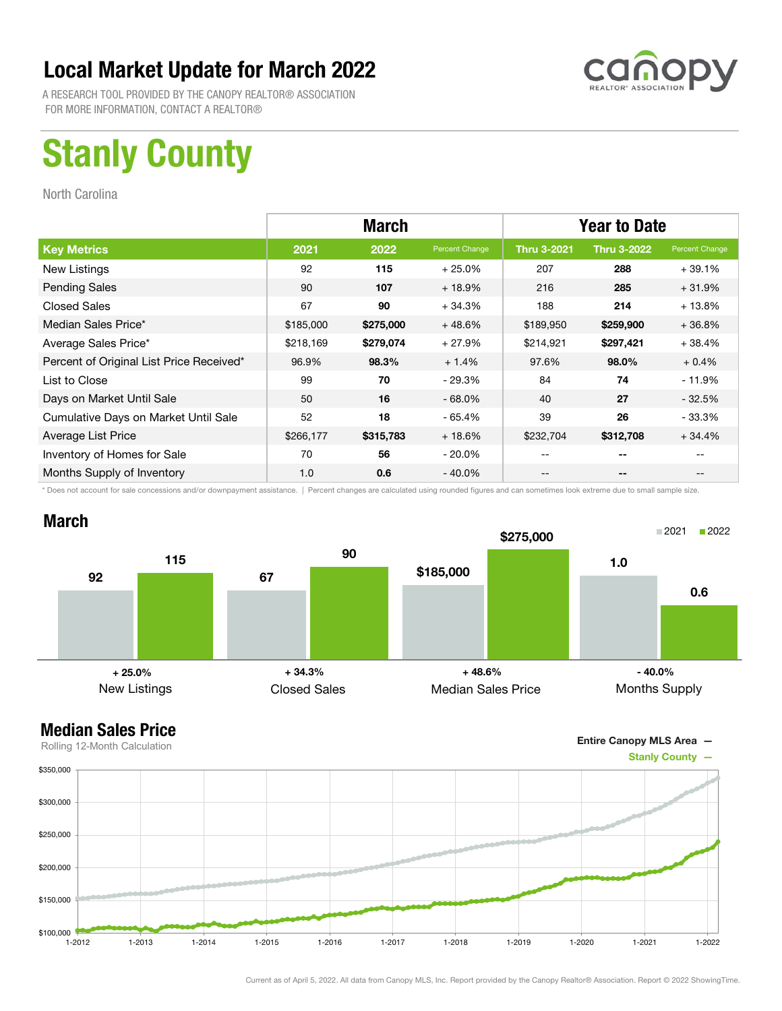

A RESEARCH TOOL PROVIDED BY THE CANOPY REALTOR® ASSOCIATION FOR MORE INFORMATION, CONTACT A REALTOR®

# Stanly County

North Carolina

|                                          | <b>March</b> |           |                | <b>Year to Date</b> |                    |                |
|------------------------------------------|--------------|-----------|----------------|---------------------|--------------------|----------------|
| <b>Key Metrics</b>                       | 2021         | 2022      | Percent Change | <b>Thru 3-2021</b>  | <b>Thru 3-2022</b> | Percent Change |
| New Listings                             | 92           | 115       | $+25.0%$       | 207                 | 288                | $+39.1%$       |
| <b>Pending Sales</b>                     | 90           | 107       | $+18.9%$       | 216                 | 285                | $+31.9%$       |
| <b>Closed Sales</b>                      | 67           | 90        | $+34.3%$       | 188                 | 214                | $+13.8%$       |
| Median Sales Price*                      | \$185,000    | \$275,000 | $+48.6%$       | \$189,950           | \$259,900          | $+36.8%$       |
| Average Sales Price*                     | \$218,169    | \$279,074 | $+27.9%$       | \$214,921           | \$297,421          | $+38.4%$       |
| Percent of Original List Price Received* | 96.9%        | 98.3%     | $+1.4%$        | 97.6%               | 98.0%              | $+0.4%$        |
| List to Close                            | 99           | 70        | $-29.3%$       | 84                  | 74                 | $-11.9%$       |
| Days on Market Until Sale                | 50           | 16        | $-68.0\%$      | 40                  | 27                 | $-32.5%$       |
| Cumulative Days on Market Until Sale     | 52           | 18        | $-65.4%$       | 39                  | 26                 | $-33.3\%$      |
| Average List Price                       | \$266,177    | \$315,783 | $+18.6%$       | \$232,704           | \$312,708          | $+34.4%$       |
| Inventory of Homes for Sale              | 70           | 56        | $-20.0\%$      | --                  | --                 |                |
| Months Supply of Inventory               | 1.0          | 0.6       | $-40.0\%$      | --                  | --                 |                |

\* Does not account for sale concessions and/or downpayment assistance. | Percent changes are calculated using rounded figures and can sometimes look extreme due to small sample size.



Entire Canopy MLS Area —

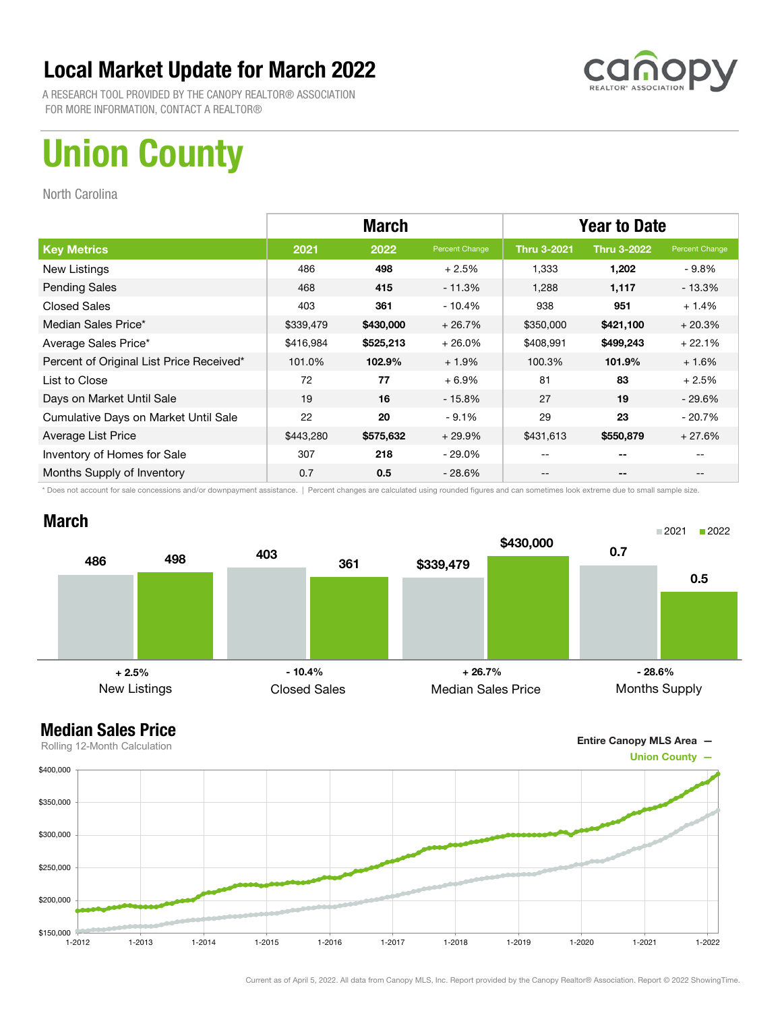

A RESEARCH TOOL PROVIDED BY THE CANOPY REALTOR® ASSOCIATION FOR MORE INFORMATION, CONTACT A REALTOR®

# Union County

North Carolina

|                                          | <b>March</b> |           |                | <b>Year to Date</b> |                    |                |
|------------------------------------------|--------------|-----------|----------------|---------------------|--------------------|----------------|
| <b>Key Metrics</b>                       | 2021         | 2022      | Percent Change | <b>Thru 3-2021</b>  | <b>Thru 3-2022</b> | Percent Change |
| New Listings                             | 486          | 498       | $+2.5%$        | 1,333               | 1,202              | - 9.8%         |
| <b>Pending Sales</b>                     | 468          | 415       | $-11.3%$       | 1,288               | 1,117              | - 13.3%        |
| <b>Closed Sales</b>                      | 403          | 361       | $-10.4%$       | 938                 | 951                | $+1.4%$        |
| Median Sales Price*                      | \$339,479    | \$430,000 | $+26.7%$       | \$350,000           | \$421,100          | $+20.3%$       |
| Average Sales Price*                     | \$416,984    | \$525,213 | $+26.0%$       | \$408,991           | \$499,243          | $+22.1%$       |
| Percent of Original List Price Received* | 101.0%       | 102.9%    | $+1.9%$        | 100.3%              | 101.9%             | $+1.6%$        |
| List to Close                            | 72           | 77        | $+6.9%$        | 81                  | 83                 | $+2.5%$        |
| Days on Market Until Sale                | 19           | 16        | $-15.8\%$      | 27                  | 19                 | - 29.6%        |
| Cumulative Days on Market Until Sale     | 22           | 20        | $-9.1%$        | 29                  | 23                 | $-20.7%$       |
| Average List Price                       | \$443,280    | \$575,632 | $+29.9%$       | \$431,613           | \$550,879          | $+27.6%$       |
| Inventory of Homes for Sale              | 307          | 218       | - 29.0%        |                     | --                 |                |
| Months Supply of Inventory               | 0.7          | 0.5       | $-28.6\%$      | --                  | --                 |                |

\* Does not account for sale concessions and/or downpayment assistance. | Percent changes are calculated using rounded figures and can sometimes look extreme due to small sample size.

### March





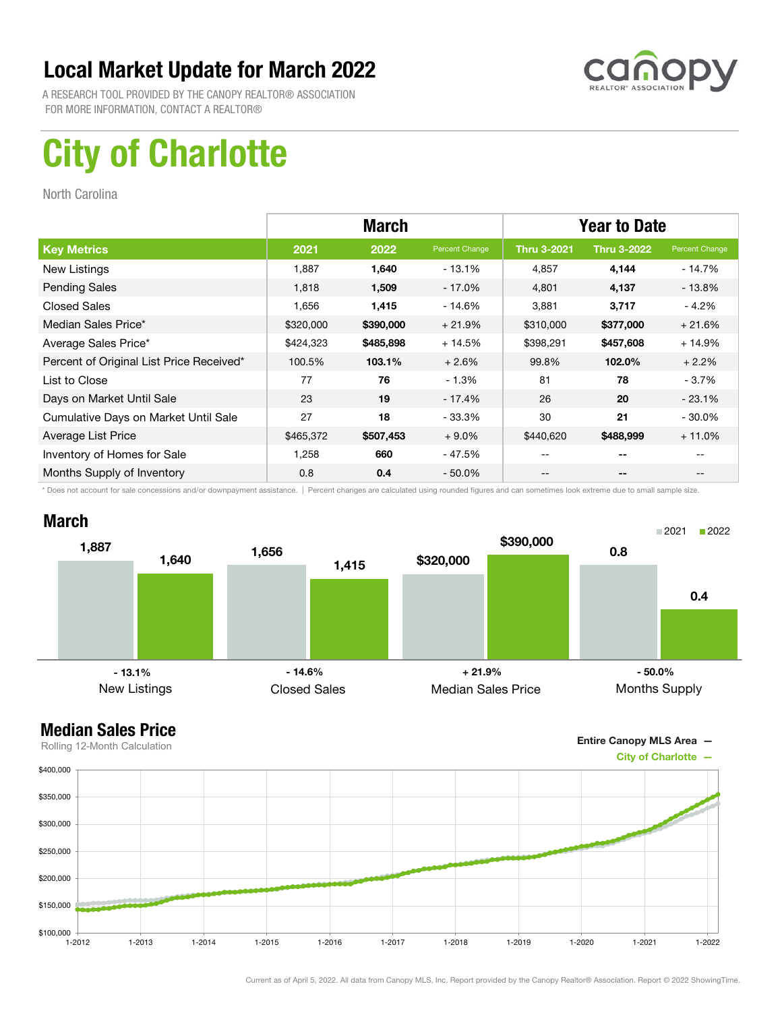

A RESEARCH TOOL PROVIDED BY THE CANOPY REALTOR® ASSOCIATION FOR MORE INFORMATION, CONTACT A REALTOR®

# City of Charlotte

North Carolina

|                                          | <b>March</b> |           |                | <b>Year to Date</b> |                    |                |
|------------------------------------------|--------------|-----------|----------------|---------------------|--------------------|----------------|
| <b>Key Metrics</b>                       | 2021         | 2022      | Percent Change | <b>Thru 3-2021</b>  | <b>Thru 3-2022</b> | Percent Change |
| New Listings                             | 1,887        | 1,640     | $-13.1\%$      | 4,857               | 4,144              | - 14.7%        |
| <b>Pending Sales</b>                     | 1,818        | 1,509     | $-17.0%$       | 4,801               | 4,137              | - 13.8%        |
| <b>Closed Sales</b>                      | 1,656        | 1,415     | $-14.6%$       | 3,881               | 3,717              | $-4.2%$        |
| Median Sales Price*                      | \$320,000    | \$390,000 | $+21.9%$       | \$310,000           | \$377,000          | $+21.6%$       |
| Average Sales Price*                     | \$424,323    | \$485,898 | $+14.5%$       | \$398,291           | \$457,608          | $+14.9%$       |
| Percent of Original List Price Received* | 100.5%       | 103.1%    | $+2.6%$        | 99.8%               | 102.0%             | $+2.2%$        |
| List to Close                            | 77           | 76        | $-1.3%$        | 81                  | 78                 | $-3.7%$        |
| Days on Market Until Sale                | 23           | 19        | - 17.4%        | 26                  | 20                 | $-23.1%$       |
| Cumulative Days on Market Until Sale     | 27           | 18        | - 33.3%        | 30                  | 21                 | $-30.0\%$      |
| Average List Price                       | \$465,372    | \$507,453 | $+9.0\%$       | \$440,620           | \$488,999          | $+11.0%$       |
| Inventory of Homes for Sale              | 1.258        | 660       | - 47.5%        | --                  | --                 |                |
| Months Supply of Inventory               | 0.8          | 0.4       | $-50.0\%$      | --                  | --                 |                |

\* Does not account for sale concessions and/or downpayment assistance. | Percent changes are calculated using rounded figures and can sometimes look extreme due to small sample size.

### March





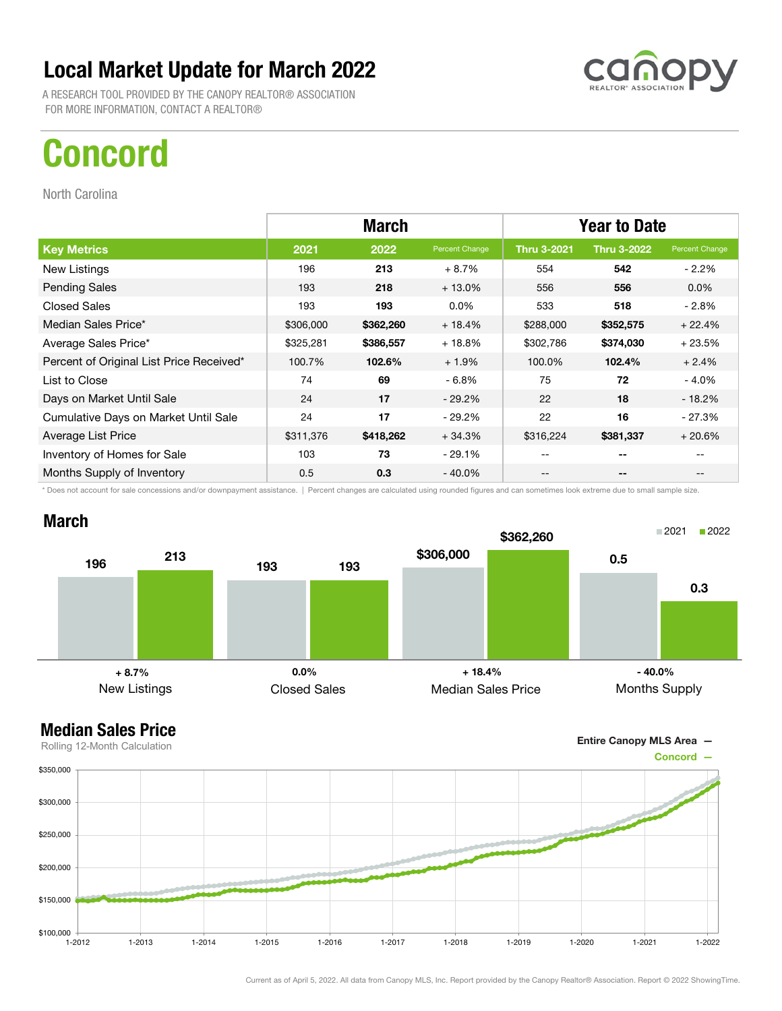A RESEARCH TOOL PROVIDED BY THE CANOPY REALTOR® ASSOCIATION FOR MORE INFORMATION, CONTACT A REALTOR®

## Concord

North Carolina

|                                          | <b>March</b> |           |                | <b>Year to Date</b> |                    |                |
|------------------------------------------|--------------|-----------|----------------|---------------------|--------------------|----------------|
| <b>Key Metrics</b>                       | 2021         | 2022      | Percent Change | <b>Thru 3-2021</b>  | <b>Thru 3-2022</b> | Percent Change |
| New Listings                             | 196          | 213       | $+8.7%$        | 554                 | 542                | $-2.2\%$       |
| <b>Pending Sales</b>                     | 193          | 218       | $+13.0%$       | 556                 | 556                | $0.0\%$        |
| <b>Closed Sales</b>                      | 193          | 193       | $0.0\%$        | 533                 | 518                | - 2.8%         |
| Median Sales Price*                      | \$306,000    | \$362,260 | $+18.4%$       | \$288,000           | \$352,575          | $+22.4%$       |
| Average Sales Price*                     | \$325,281    | \$386,557 | $+18.8%$       | \$302,786           | \$374,030          | $+23.5%$       |
| Percent of Original List Price Received* | 100.7%       | 102.6%    | $+1.9%$        | 100.0%              | 102.4%             | $+2.4%$        |
| List to Close                            | 74           | 69        | $-6.8%$        | 75                  | 72                 | $-4.0%$        |
| Days on Market Until Sale                | 24           | 17        | $-29.2\%$      | 22                  | 18                 | $-18.2\%$      |
| Cumulative Days on Market Until Sale     | 24           | 17        | $-29.2\%$      | 22                  | 16                 | $-27.3%$       |
| Average List Price                       | \$311,376    | \$418,262 | $+34.3%$       | \$316,224           | \$381,337          | $+20.6%$       |
| Inventory of Homes for Sale              | 103          | 73        | $-29.1%$       | --                  | --                 |                |
| Months Supply of Inventory               | 0.5          | 0.3       | $-40.0\%$      | --                  | --                 | $- -$          |

\* Does not account for sale concessions and/or downpayment assistance. | Percent changes are calculated using rounded figures and can sometimes look extreme due to small sample size.



Entire Canopy MLS Area —

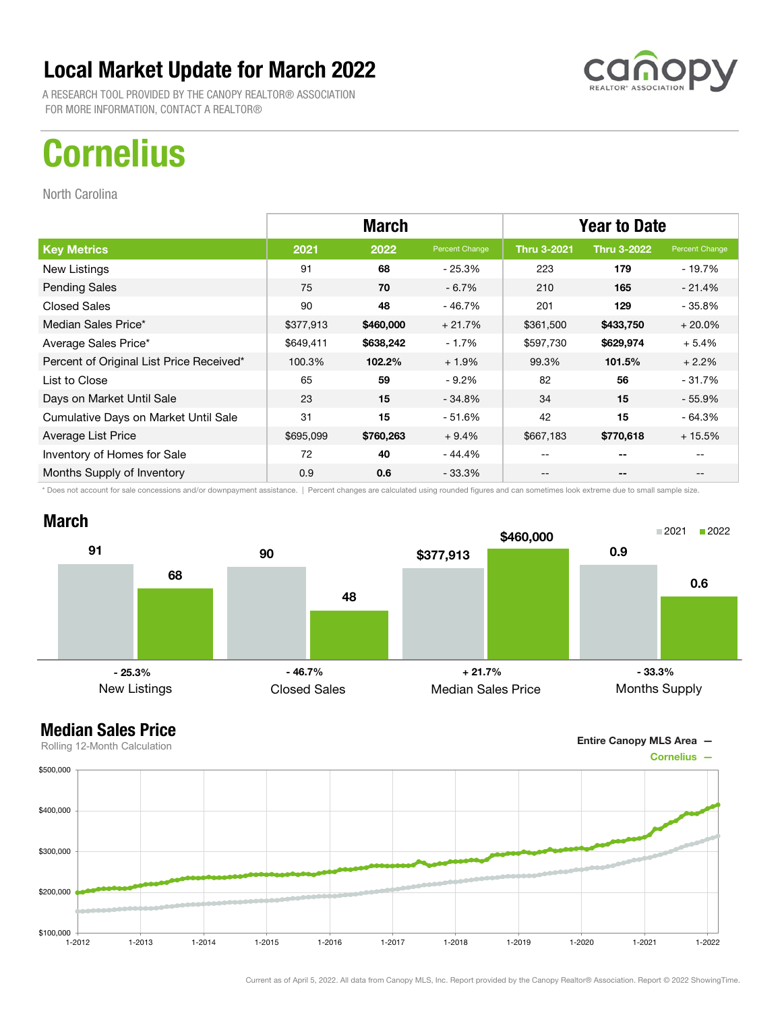A RESEARCH TOOL PROVIDED BY THE CANOPY REALTOR® ASSOCIATION FOR MORE INFORMATION, CONTACT A REALTOR®

# **Cornelius**

North Carolina

|                                          | <b>March</b> |           |                | <b>Year to Date</b> |                    |                |
|------------------------------------------|--------------|-----------|----------------|---------------------|--------------------|----------------|
| <b>Key Metrics</b>                       | 2021         | 2022      | Percent Change | <b>Thru 3-2021</b>  | <b>Thru 3-2022</b> | Percent Change |
| New Listings                             | 91           | 68        | - 25.3%        | 223                 | 179                | - 19.7%        |
| <b>Pending Sales</b>                     | 75           | 70        | $-6.7%$        | 210                 | 165                | $-21.4%$       |
| <b>Closed Sales</b>                      | 90           | 48        | - 46.7%        | 201                 | 129                | - 35.8%        |
| Median Sales Price*                      | \$377,913    | \$460,000 | $+21.7%$       | \$361,500           | \$433,750          | $+20.0%$       |
| Average Sales Price*                     | \$649,411    | \$638,242 | $-1.7%$        | \$597,730           | \$629,974          | $+5.4%$        |
| Percent of Original List Price Received* | 100.3%       | 102.2%    | $+1.9%$        | 99.3%               | 101.5%             | $+2.2%$        |
| List to Close                            | 65           | 59        | $-9.2%$        | 82                  | 56                 | $-31.7%$       |
| Days on Market Until Sale                | 23           | 15        | $-34.8%$       | 34                  | 15                 | $-55.9%$       |
| Cumulative Days on Market Until Sale     | 31           | 15        | - 51.6%        | 42                  | 15                 | $-64.3%$       |
| Average List Price                       | \$695,099    | \$760,263 | $+9.4%$        | \$667,183           | \$770,618          | $+15.5%$       |
| Inventory of Homes for Sale              | 72           | 40        | - 44.4%        | --                  | --                 |                |
| Months Supply of Inventory               | 0.9          | 0.6       | - 33.3%        | --                  | --                 |                |

\* Does not account for sale concessions and/or downpayment assistance. | Percent changes are calculated using rounded figures and can sometimes look extreme due to small sample size.





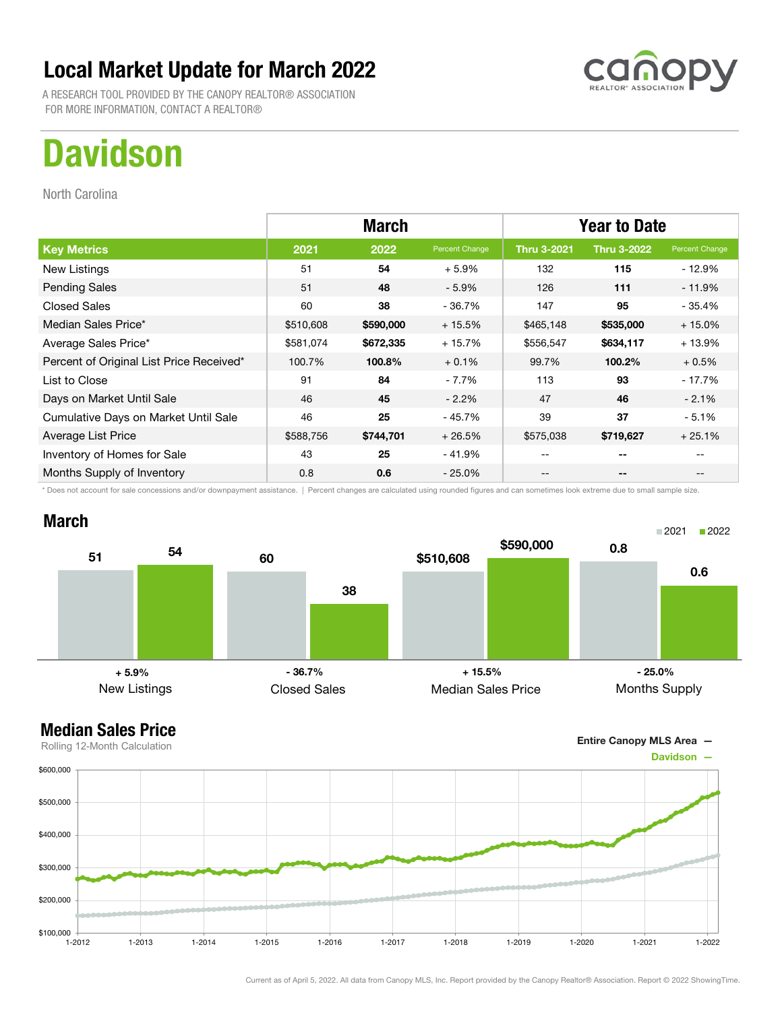A RESEARCH TOOL PROVIDED BY THE CANOPY REALTOR® ASSOCIATION FOR MORE INFORMATION, CONTACT A REALTOR®

## **Davidson**

North Carolina

|                                          | <b>March</b> |           |                | <b>Year to Date</b> |                    |                |
|------------------------------------------|--------------|-----------|----------------|---------------------|--------------------|----------------|
| <b>Key Metrics</b>                       | 2021         | 2022      | Percent Change | <b>Thru 3-2021</b>  | <b>Thru 3-2022</b> | Percent Change |
| New Listings                             | 51           | 54        | $+5.9%$        | 132                 | 115                | $-12.9%$       |
| <b>Pending Sales</b>                     | 51           | 48        | $-5.9\%$       | 126                 | 111                | $-11.9%$       |
| <b>Closed Sales</b>                      | 60           | 38        | - 36.7%        | 147                 | 95                 | $-35.4%$       |
| Median Sales Price*                      | \$510,608    | \$590,000 | $+15.5%$       | \$465,148           | \$535,000          | $+15.0%$       |
| Average Sales Price*                     | \$581,074    | \$672,335 | $+15.7%$       | \$556,547           | \$634,117          | $+13.9%$       |
| Percent of Original List Price Received* | 100.7%       | 100.8%    | $+0.1%$        | 99.7%               | 100.2%             | $+0.5%$        |
| List to Close                            | 91           | 84        | $-7.7%$        | 113                 | 93                 | $-17.7%$       |
| Days on Market Until Sale                | 46           | 45        | $-2.2\%$       | 47                  | 46                 | $-2.1%$        |
| Cumulative Days on Market Until Sale     | 46           | 25        | - 45.7%        | 39                  | 37                 | $-5.1%$        |
| Average List Price                       | \$588,756    | \$744,701 | $+26.5%$       | \$575,038           | \$719,627          | $+25.1%$       |
| Inventory of Homes for Sale              | 43           | 25        | - 41.9%        | --                  | --                 |                |
| Months Supply of Inventory               | 0.8          | 0.6       | $-25.0\%$      | --                  | --                 |                |

\* Does not account for sale concessions and/or downpayment assistance. | Percent changes are calculated using rounded figures and can sometimes look extreme due to small sample size.

#### March





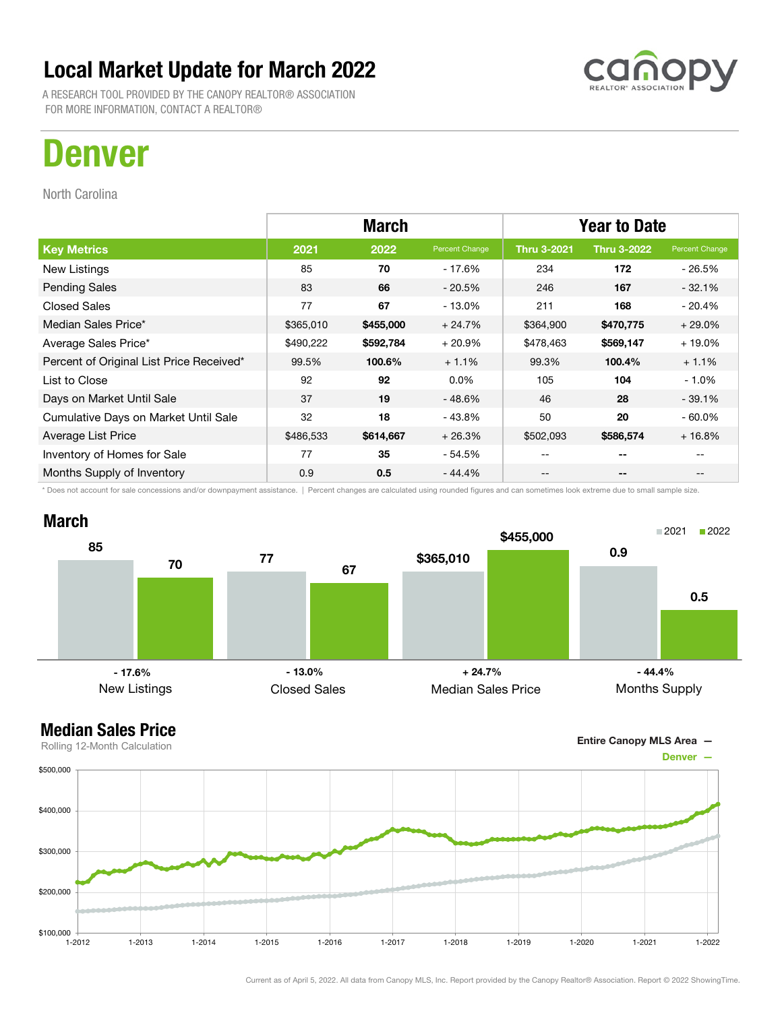A RESEARCH TOOL PROVIDED BY THE CANOPY REALTOR® ASSOCIATION FOR MORE INFORMATION, CONTACT A REALTOR®

## Denver

North Carolina

|                                          | <b>March</b> |           |                | <b>Year to Date</b> |                    |                |
|------------------------------------------|--------------|-----------|----------------|---------------------|--------------------|----------------|
| <b>Key Metrics</b>                       | 2021         | 2022      | Percent Change | <b>Thru 3-2021</b>  | <b>Thru 3-2022</b> | Percent Change |
| New Listings                             | 85           | 70        | - 17.6%        | 234                 | 172                | $-26.5%$       |
| <b>Pending Sales</b>                     | 83           | 66        | $-20.5%$       | 246                 | 167                | $-32.1%$       |
| <b>Closed Sales</b>                      | 77           | 67        | - 13.0%        | 211                 | 168                | $-20.4%$       |
| Median Sales Price*                      | \$365,010    | \$455,000 | $+24.7%$       | \$364,900           | \$470,775          | $+29.0%$       |
| Average Sales Price*                     | \$490,222    | \$592,784 | $+20.9%$       | \$478,463           | \$569,147          | $+19.0%$       |
| Percent of Original List Price Received* | 99.5%        | 100.6%    | $+1.1%$        | 99.3%               | 100.4%             | $+1.1%$        |
| List to Close                            | 92           | 92        | $0.0\%$        | 105                 | 104                | $-1.0\%$       |
| Days on Market Until Sale                | 37           | 19        | $-48.6%$       | 46                  | 28                 | $-39.1%$       |
| Cumulative Days on Market Until Sale     | 32           | 18        | - 43.8%        | 50                  | 20                 | $-60.0\%$      |
| Average List Price                       | \$486,533    | \$614,667 | $+26.3%$       | \$502,093           | \$586,574          | $+16.8%$       |
| Inventory of Homes for Sale              | 77           | 35        | - 54.5%        | --                  | --                 |                |
| Months Supply of Inventory               | 0.9          | 0.5       | $-44.4%$       | --                  | --                 |                |

\* Does not account for sale concessions and/or downpayment assistance. | Percent changes are calculated using rounded figures and can sometimes look extreme due to small sample size.



#### Median Sales Price



Rolling 12-Month Calculation

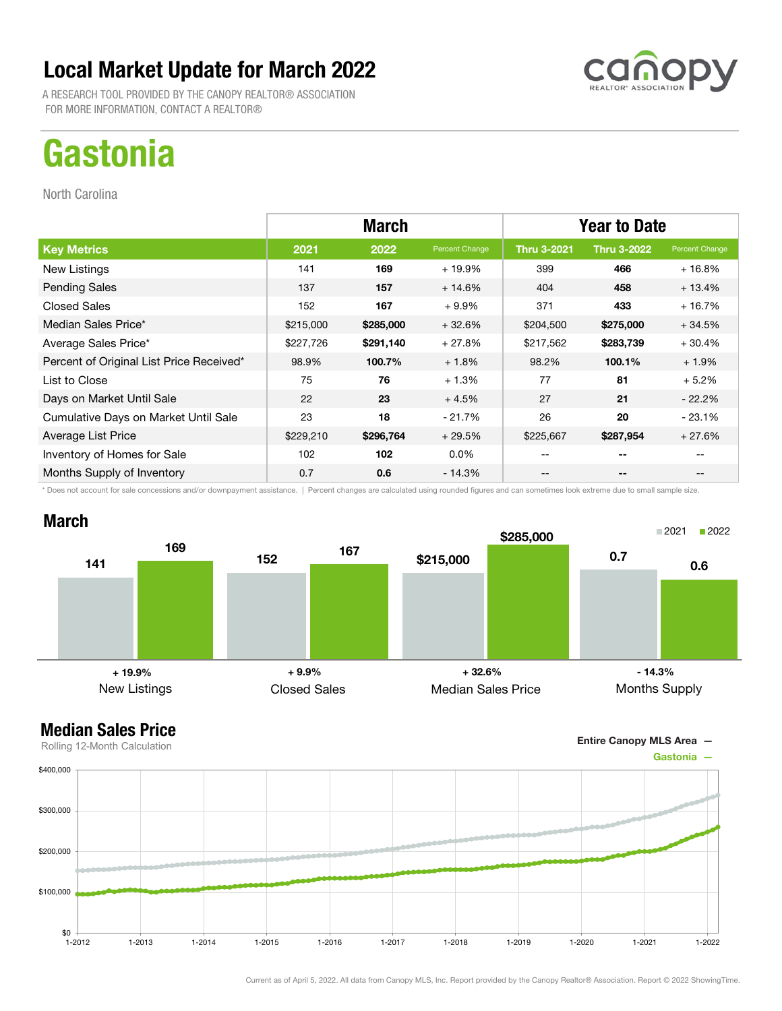A RESEARCH TOOL PROVIDED BY THE CANOPY REALTOR® ASSOCIATION FOR MORE INFORMATION, CONTACT A REALTOR®

## **Gastonia**

North Carolina

|                                          | <b>March</b> |           |                | <b>Year to Date</b> |                    |                |
|------------------------------------------|--------------|-----------|----------------|---------------------|--------------------|----------------|
| <b>Key Metrics</b>                       | 2021         | 2022      | Percent Change | <b>Thru 3-2021</b>  | <b>Thru 3-2022</b> | Percent Change |
| New Listings                             | 141          | 169       | $+19.9%$       | 399                 | 466                | $+16.8%$       |
| <b>Pending Sales</b>                     | 137          | 157       | $+14.6%$       | 404                 | 458                | $+13.4%$       |
| <b>Closed Sales</b>                      | 152          | 167       | $+9.9\%$       | 371                 | 433                | $+16.7%$       |
| Median Sales Price*                      | \$215,000    | \$285,000 | $+32.6%$       | \$204,500           | \$275,000          | $+34.5%$       |
| Average Sales Price*                     | \$227,726    | \$291,140 | $+27.8%$       | \$217,562           | \$283,739          | $+30.4%$       |
| Percent of Original List Price Received* | 98.9%        | 100.7%    | $+1.8%$        | 98.2%               | 100.1%             | $+1.9%$        |
| List to Close                            | 75           | 76        | $+1.3%$        | 77                  | 81                 | $+5.2%$        |
| Days on Market Until Sale                | 22           | 23        | $+4.5%$        | 27                  | 21                 | $-22.2%$       |
| Cumulative Days on Market Until Sale     | 23           | 18        | - 21.7%        | 26                  | 20                 | $-23.1%$       |
| Average List Price                       | \$229,210    | \$296,764 | $+29.5%$       | \$225,667           | \$287,954          | $+27.6%$       |
| Inventory of Homes for Sale              | 102          | 102       | $0.0\%$        | --                  | --                 |                |
| Months Supply of Inventory               | 0.7          | 0.6       | - 14.3%        | --                  | --                 |                |

\* Does not account for sale concessions and/or downpayment assistance. | Percent changes are calculated using rounded figures and can sometimes look extreme due to small sample size.

### March





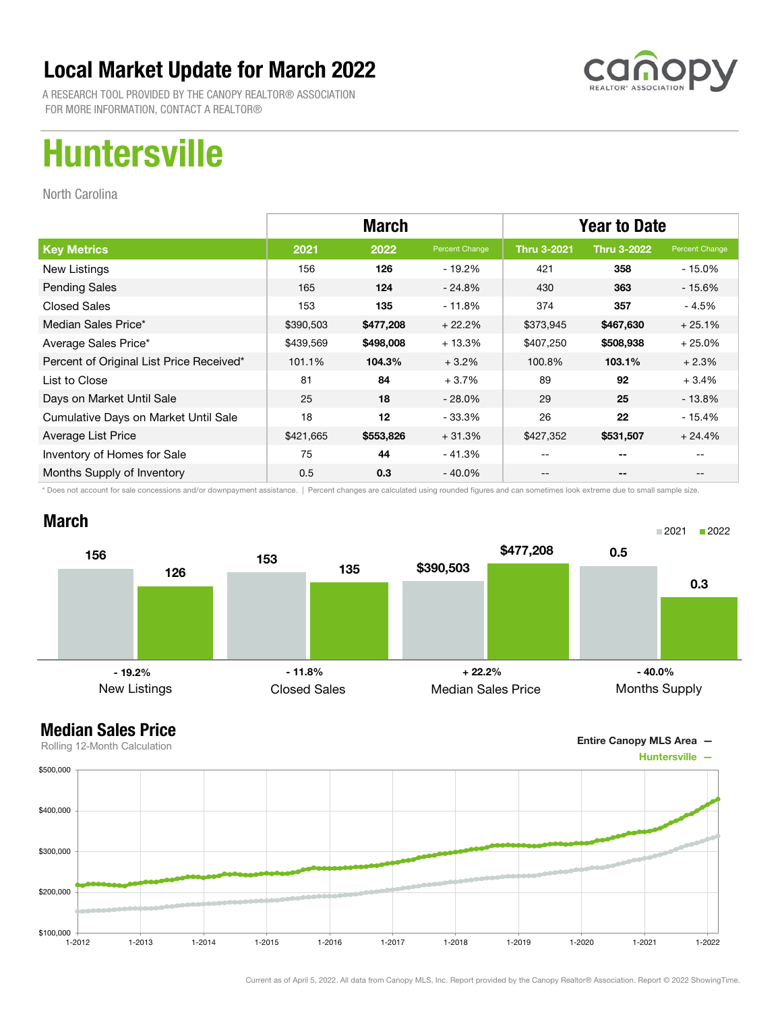

A RESEARCH TOOL PROVIDED BY THE CANOPY REALTOR® ASSOCIATION FOR MORE INFORMATION, CONTACT A REALTOR®

## Huntersville

North Carolina

|                                          | <b>March</b> |           |                | <b>Year to Date</b> |                    |                |
|------------------------------------------|--------------|-----------|----------------|---------------------|--------------------|----------------|
| <b>Key Metrics</b>                       | 2021         | 2022      | Percent Change | <b>Thru 3-2021</b>  | <b>Thru 3-2022</b> | Percent Change |
| New Listings                             | 156          | 126       | - 19.2%        | 421                 | 358                | $-15.0\%$      |
| <b>Pending Sales</b>                     | 165          | 124       | $-24.8%$       | 430                 | 363                | - 15.6%        |
| <b>Closed Sales</b>                      | 153          | 135       | $-11.8%$       | 374                 | 357                | - 4.5%         |
| Median Sales Price*                      | \$390,503    | \$477,208 | $+22.2%$       | \$373,945           | \$467,630          | $+25.1%$       |
| Average Sales Price*                     | \$439,569    | \$498,008 | $+13.3%$       | \$407,250           | \$508,938          | $+25.0%$       |
| Percent of Original List Price Received* | 101.1%       | 104.3%    | $+3.2%$        | 100.8%              | 103.1%             | $+2.3%$        |
| List to Close                            | 81           | 84        | $+3.7%$        | 89                  | 92                 | $+3.4%$        |
| Days on Market Until Sale                | 25           | 18        | $-28.0\%$      | 29                  | 25                 | $-13.8\%$      |
| Cumulative Days on Market Until Sale     | 18           | 12        | $-33.3%$       | 26                  | 22                 | $-15.4%$       |
| Average List Price                       | \$421,665    | \$553,826 | $+31.3%$       | \$427,352           | \$531,507          | $+24.4%$       |
| Inventory of Homes for Sale              | 75           | 44        | - 41.3%        |                     | --                 |                |
| Months Supply of Inventory               | 0.5          | 0.3       | $-40.0\%$      | --                  | --                 |                |

\* Does not account for sale concessions and/or downpayment assistance. | Percent changes are calculated using rounded figures and can sometimes look extreme due to small sample size.

### March



Entire Canopy MLS Area —

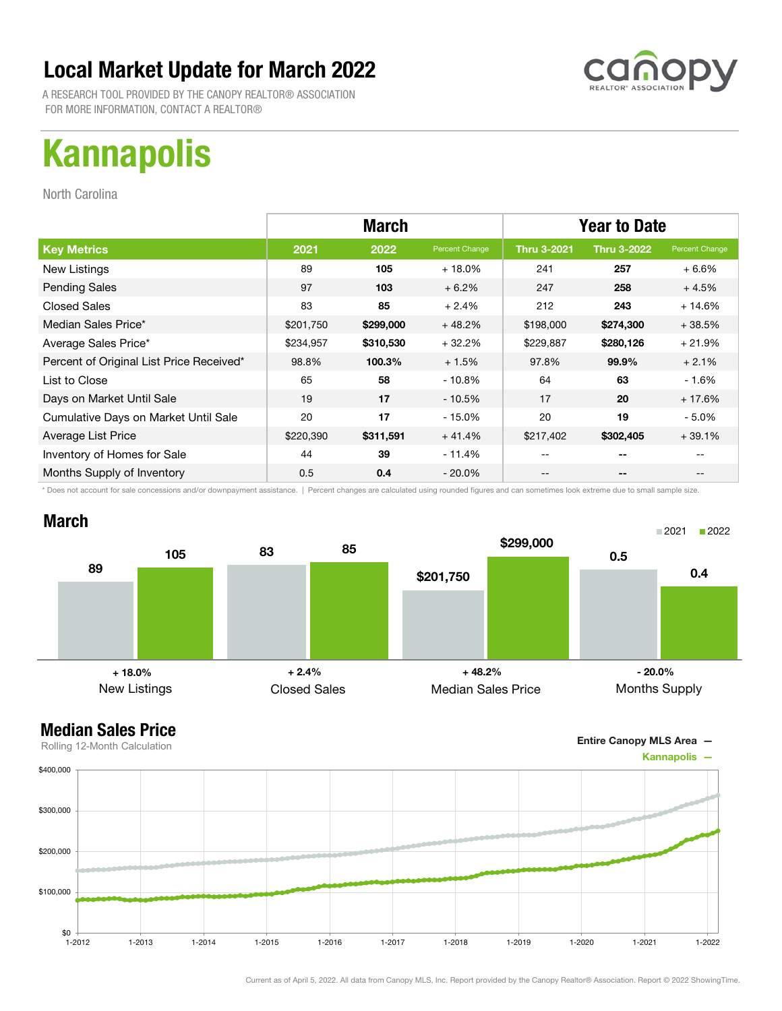A RESEARCH TOOL PROVIDED BY THE CANOPY REALTOR® ASSOCIATION FOR MORE INFORMATION, CONTACT A REALTOR®

# Kannapolis

North Carolina

|                                          |           | <b>March</b> |                | <b>Year to Date</b> |                    |                |
|------------------------------------------|-----------|--------------|----------------|---------------------|--------------------|----------------|
| <b>Key Metrics</b>                       | 2021      | 2022         | Percent Change | <b>Thru 3-2021</b>  | <b>Thru 3-2022</b> | Percent Change |
| New Listings                             | 89        | 105          | $+18.0\%$      | 241                 | 257                | $+6.6\%$       |
| <b>Pending Sales</b>                     | 97        | 103          | $+6.2%$        | 247                 | 258                | $+4.5%$        |
| <b>Closed Sales</b>                      | 83        | 85           | $+2.4%$        | 212                 | 243                | $+14.6%$       |
| Median Sales Price*                      | \$201,750 | \$299,000    | $+48.2%$       | \$198,000           | \$274,300          | $+38.5%$       |
| Average Sales Price*                     | \$234,957 | \$310,530    | $+32.2%$       | \$229,887           | \$280,126          | $+21.9%$       |
| Percent of Original List Price Received* | 98.8%     | 100.3%       | $+1.5%$        | 97.8%               | 99.9%              | $+2.1%$        |
| List to Close                            | 65        | 58           | $-10.8%$       | 64                  | 63                 | - 1.6%         |
| Days on Market Until Sale                | 19        | 17           | $-10.5%$       | 17                  | 20                 | $+17.6%$       |
| Cumulative Days on Market Until Sale     | 20        | 17           | $-15.0%$       | 20                  | 19                 | $-5.0\%$       |
| Average List Price                       | \$220,390 | \$311,591    | $+41.4%$       | \$217,402           | \$302,405          | $+39.1%$       |
| Inventory of Homes for Sale              | 44        | 39           | - 11.4%        | --                  | --                 |                |
| Months Supply of Inventory               | 0.5       | 0.4          | $-20.0\%$      | --                  | --                 |                |

\* Does not account for sale concessions and/or downpayment assistance. | Percent changes are calculated using rounded figures and can sometimes look extreme due to small sample size.

### March



Entire Canopy MLS Area —

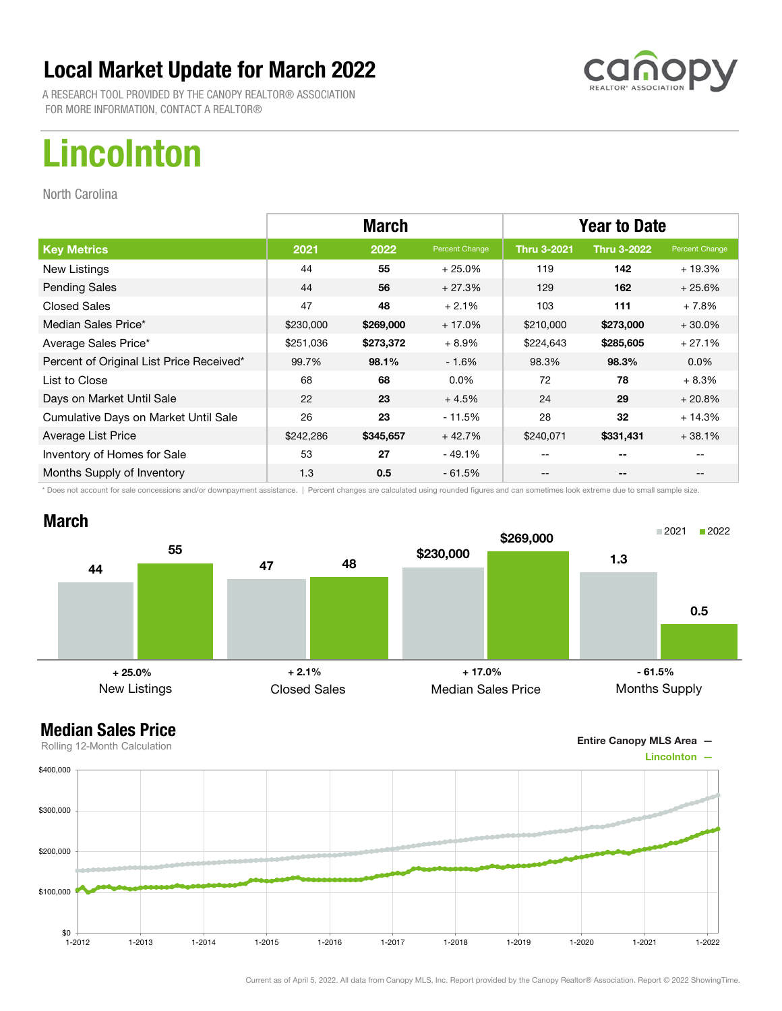A RESEARCH TOOL PROVIDED BY THE CANOPY REALTOR® ASSOCIATION FOR MORE INFORMATION, CONTACT A REALTOR®

# Lincolnton

North Carolina

|                                          | <b>March</b> |           |                | <b>Year to Date</b> |                    |                |
|------------------------------------------|--------------|-----------|----------------|---------------------|--------------------|----------------|
| <b>Key Metrics</b>                       | 2021         | 2022      | Percent Change | <b>Thru 3-2021</b>  | <b>Thru 3-2022</b> | Percent Change |
| New Listings                             | 44           | 55        | $+25.0%$       | 119                 | 142                | $+19.3%$       |
| <b>Pending Sales</b>                     | 44           | 56        | $+27.3%$       | 129                 | 162                | $+25.6%$       |
| <b>Closed Sales</b>                      | 47           | 48        | $+2.1%$        | 103                 | 111                | $+7.8%$        |
| Median Sales Price*                      | \$230,000    | \$269,000 | $+17.0%$       | \$210,000           | \$273,000          | $+30.0%$       |
| Average Sales Price*                     | \$251,036    | \$273,372 | $+8.9%$        | \$224,643           | \$285,605          | $+27.1%$       |
| Percent of Original List Price Received* | 99.7%        | 98.1%     | $-1.6%$        | 98.3%               | 98.3%              | $0.0\%$        |
| List to Close                            | 68           | 68        | $0.0\%$        | 72                  | 78                 | $+8.3%$        |
| Days on Market Until Sale                | 22           | 23        | $+4.5%$        | 24                  | 29                 | $+20.8%$       |
| Cumulative Days on Market Until Sale     | 26           | 23        | $-11.5%$       | 28                  | 32                 | $+14.3%$       |
| Average List Price                       | \$242,286    | \$345,657 | $+42.7%$       | \$240,071           | \$331,431          | $+38.1%$       |
| Inventory of Homes for Sale              | 53           | 27        | - 49.1%        | --                  | --                 |                |
| Months Supply of Inventory               | 1.3          | 0.5       | $-61.5%$       | --                  | --                 |                |

\* Does not account for sale concessions and/or downpayment assistance. | Percent changes are calculated using rounded figures and can sometimes look extreme due to small sample size.



Entire Canopy MLS Area —

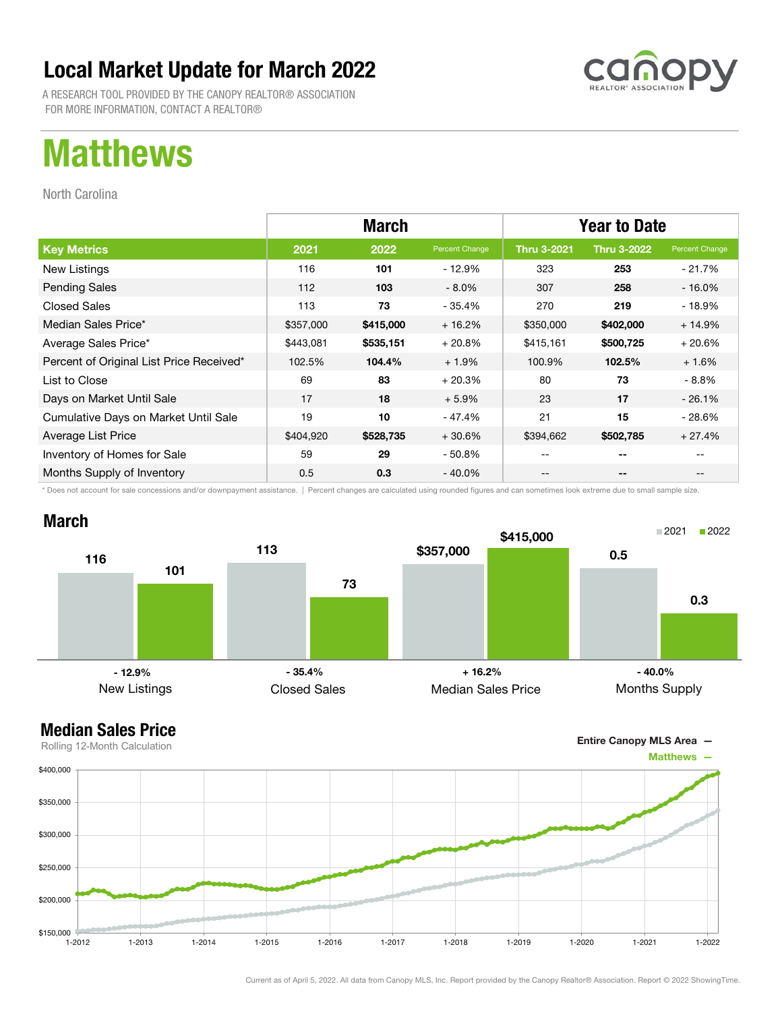A RESEARCH TOOL PROVIDED BY THE CANOPY REALTOR® ASSOCIATION FOR MORE INFORMATION, CONTACT A REALTOR®

## Matthews

North Carolina

|                                          | <b>March</b> |           |                | <b>Year to Date</b> |                    |                |
|------------------------------------------|--------------|-----------|----------------|---------------------|--------------------|----------------|
| <b>Key Metrics</b>                       | 2021         | 2022      | Percent Change | <b>Thru 3-2021</b>  | <b>Thru 3-2022</b> | Percent Change |
| New Listings                             | 116          | 101       | - 12.9%        | 323                 | 253                | - 21.7%        |
| <b>Pending Sales</b>                     | 112          | 103       | $-8.0\%$       | 307                 | 258                | $-16.0%$       |
| <b>Closed Sales</b>                      | 113          | 73        | - 35.4%        | 270                 | 219                | - 18.9%        |
| Median Sales Price*                      | \$357,000    | \$415,000 | $+16.2%$       | \$350,000           | \$402,000          | $+14.9%$       |
| Average Sales Price*                     | \$443,081    | \$535,151 | $+20.8%$       | \$415,161           | \$500,725          | $+20.6%$       |
| Percent of Original List Price Received* | 102.5%       | 104.4%    | $+1.9%$        | 100.9%              | 102.5%             | $+1.6%$        |
| List to Close                            | 69           | 83        | $+20.3%$       | 80                  | 73                 | - 8.8%         |
| Days on Market Until Sale                | 17           | 18        | $+5.9%$        | 23                  | 17                 | $-26.1%$       |
| Cumulative Days on Market Until Sale     | 19           | 10        | - 47.4%        | 21                  | 15                 | $-28.6%$       |
| Average List Price                       | \$404,920    | \$528,735 | $+30.6%$       | \$394,662           | \$502,785          | $+27.4%$       |
| Inventory of Homes for Sale              | 59           | 29        | $-50.8\%$      | --                  | --                 |                |
| Months Supply of Inventory               | 0.5          | 0.3       | $-40.0\%$      | --                  | --                 | $- -$          |

\* Does not account for sale concessions and/or downpayment assistance. | Percent changes are calculated using rounded figures and can sometimes look extreme due to small sample size.

### March



### Median Sales Price

Entire Canopy MLS Area —

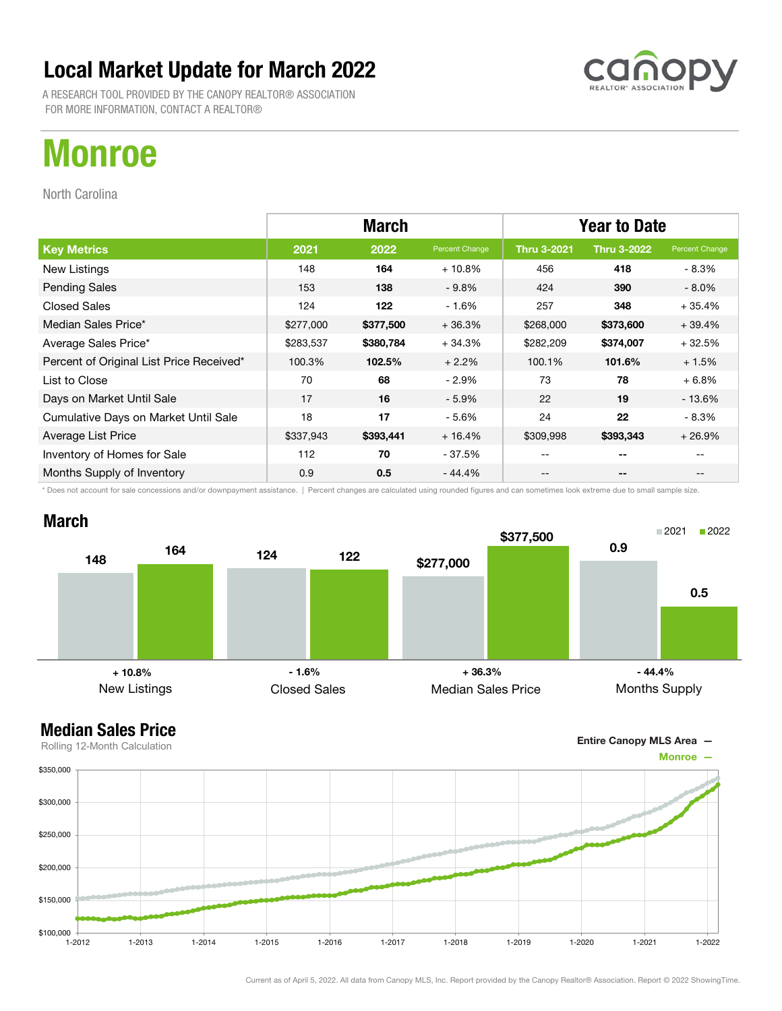A RESEARCH TOOL PROVIDED BY THE CANOPY REALTOR® ASSOCIATION FOR MORE INFORMATION, CONTACT A REALTOR®

## Monroe

North Carolina

|                                          | <b>March</b> |           |                | <b>Year to Date</b> |                    |                |
|------------------------------------------|--------------|-----------|----------------|---------------------|--------------------|----------------|
| <b>Key Metrics</b>                       | 2021         | 2022      | Percent Change | <b>Thru 3-2021</b>  | <b>Thru 3-2022</b> | Percent Change |
| New Listings                             | 148          | 164       | $+10.8%$       | 456                 | 418                | - 8.3%         |
| <b>Pending Sales</b>                     | 153          | 138       | $-9.8%$        | 424                 | 390                | $-8.0\%$       |
| <b>Closed Sales</b>                      | 124          | 122       | $-1.6%$        | 257                 | 348                | $+35.4%$       |
| Median Sales Price*                      | \$277,000    | \$377,500 | $+36.3%$       | \$268,000           | \$373,600          | $+39.4%$       |
| Average Sales Price*                     | \$283,537    | \$380,784 | $+34.3%$       | \$282,209           | \$374,007          | $+32.5%$       |
| Percent of Original List Price Received* | 100.3%       | 102.5%    | $+2.2%$        | 100.1%              | 101.6%             | $+1.5%$        |
| List to Close                            | 70           | 68        | $-2.9\%$       | 73                  | 78                 | $+6.8%$        |
| Days on Market Until Sale                | 17           | 16        | $-5.9%$        | 22                  | 19                 | $-13.6%$       |
| Cumulative Days on Market Until Sale     | 18           | 17        | $-5.6%$        | 24                  | 22                 | - 8.3%         |
| Average List Price                       | \$337,943    | \$393,441 | $+16.4%$       | \$309,998           | \$393,343          | $+26.9%$       |
| Inventory of Homes for Sale              | 112          | 70        | - 37.5%        | --                  | --                 |                |
| Months Supply of Inventory               | 0.9          | 0.5       | - 44.4%        | --                  | --                 |                |

\* Does not account for sale concessions and/or downpayment assistance. | Percent changes are calculated using rounded figures and can sometimes look extreme due to small sample size.

### March





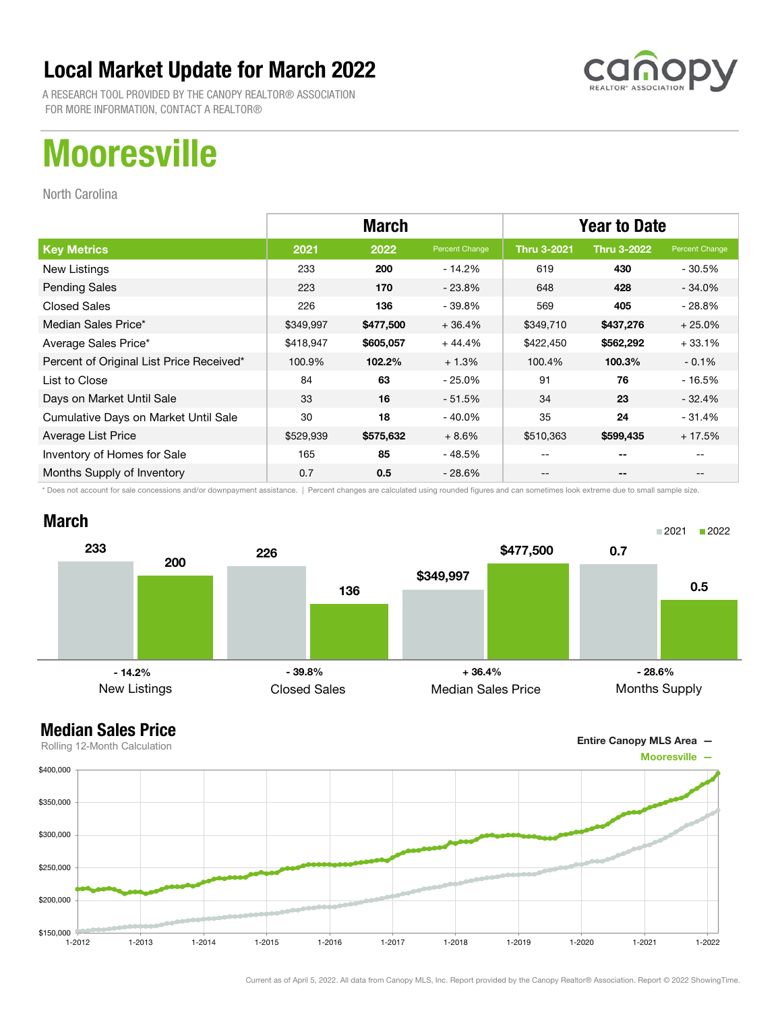

A RESEARCH TOOL PROVIDED BY THE CANOPY REALTOR® ASSOCIATION FOR MORE INFORMATION, CONTACT A REALTOR®

# **Mooresville**

North Carolina

|                                          | <b>March</b> |           |                | <b>Year to Date</b> |                    |                |
|------------------------------------------|--------------|-----------|----------------|---------------------|--------------------|----------------|
| <b>Key Metrics</b>                       | 2021         | 2022      | Percent Change | <b>Thru 3-2021</b>  | <b>Thru 3-2022</b> | Percent Change |
| New Listings                             | 233          | 200       | $-14.2%$       | 619                 | 430                | - 30.5%        |
| <b>Pending Sales</b>                     | 223          | 170       | $-23.8%$       | 648                 | 428                | $-34.0%$       |
| <b>Closed Sales</b>                      | 226          | 136       | $-39.8%$       | 569                 | 405                | - 28.8%        |
| Median Sales Price*                      | \$349,997    | \$477,500 | $+36.4%$       | \$349,710           | \$437,276          | $+25.0%$       |
| Average Sales Price*                     | \$418,947    | \$605,057 | $+44.4%$       | \$422,450           | \$562,292          | $+33.1%$       |
| Percent of Original List Price Received* | 100.9%       | 102.2%    | $+1.3%$        | 100.4%              | 100.3%             | $-0.1%$        |
| List to Close                            | 84           | 63        | $-25.0%$       | 91                  | 76                 | $-16.5%$       |
| Days on Market Until Sale                | 33           | 16        | $-51.5%$       | 34                  | 23                 | $-32.4%$       |
| Cumulative Days on Market Until Sale     | 30           | 18        | $-40.0%$       | 35                  | 24                 | $-31.4%$       |
| Average List Price                       | \$529,939    | \$575,632 | $+8.6%$        | \$510,363           | \$599,435          | $+17.5%$       |
| Inventory of Homes for Sale              | 165          | 85        | - 48.5%        |                     | --                 |                |
| Months Supply of Inventory               | 0.7          | 0.5       | $-28.6%$       | --                  | --                 |                |

\* Does not account for sale concessions and/or downpayment assistance. | Percent changes are calculated using rounded figures and can sometimes look extreme due to small sample size.

#### March





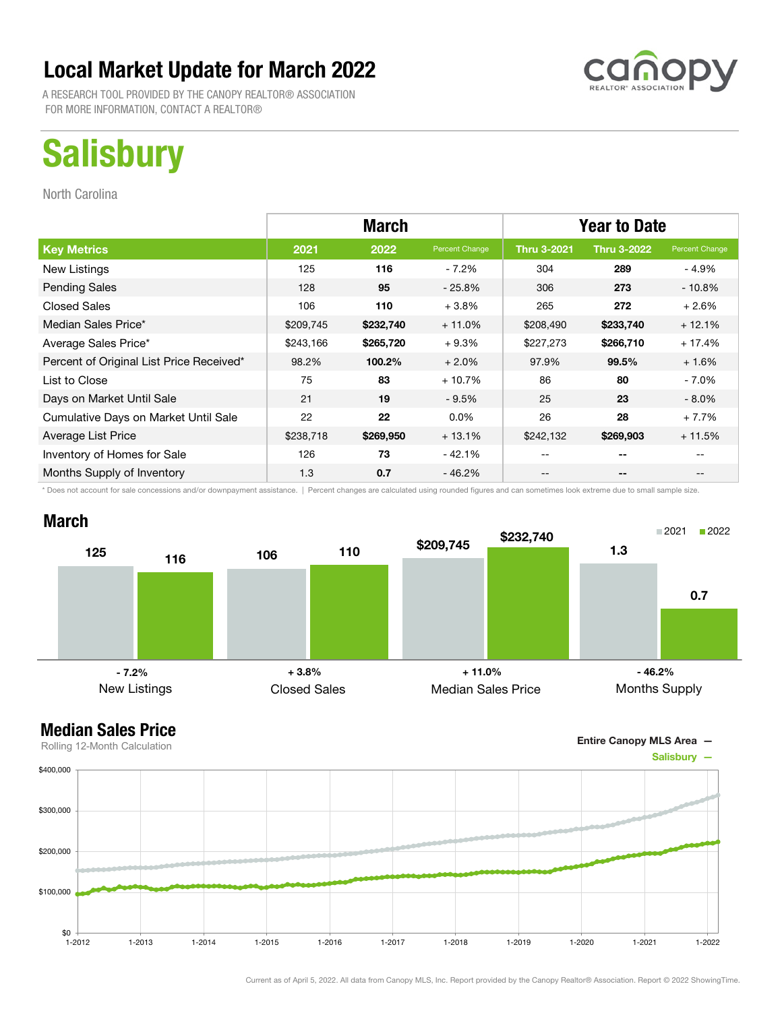A RESEARCH TOOL PROVIDED BY THE CANOPY REALTOR® ASSOCIATION FOR MORE INFORMATION, CONTACT A REALTOR®

# **Salisbury**

North Carolina

|                                          |           | <b>March</b> |                | <b>Year to Date</b> |                    |                |
|------------------------------------------|-----------|--------------|----------------|---------------------|--------------------|----------------|
| <b>Key Metrics</b>                       | 2021      | 2022         | Percent Change | <b>Thru 3-2021</b>  | <b>Thru 3-2022</b> | Percent Change |
| New Listings                             | 125       | 116          | $-7.2\%$       | 304                 | 289                | - 4.9%         |
| <b>Pending Sales</b>                     | 128       | 95           | $-25.8\%$      | 306                 | 273                | $-10.8%$       |
| <b>Closed Sales</b>                      | 106       | 110          | $+3.8%$        | 265                 | 272                | $+2.6%$        |
| Median Sales Price*                      | \$209,745 | \$232,740    | $+11.0%$       | \$208,490           | \$233,740          | $+12.1%$       |
| Average Sales Price*                     | \$243,166 | \$265,720    | $+9.3%$        | \$227,273           | \$266,710          | $+17.4%$       |
| Percent of Original List Price Received* | 98.2%     | 100.2%       | $+2.0%$        | 97.9%               | 99.5%              | $+1.6%$        |
| List to Close                            | 75        | 83           | $+10.7%$       | 86                  | 80                 | $-7.0\%$       |
| Days on Market Until Sale                | 21        | 19           | $-9.5%$        | 25                  | 23                 | $-8.0\%$       |
| Cumulative Days on Market Until Sale     | 22        | 22           | $0.0\%$        | 26                  | 28                 | $+7.7%$        |
| Average List Price                       | \$238,718 | \$269,950    | $+13.1%$       | \$242,132           | \$269,903          | $+11.5%$       |
| Inventory of Homes for Sale              | 126       | 73           | $-42.1%$       |                     | --                 |                |
| Months Supply of Inventory               | 1.3       | 0.7          | $-46.2%$       | --                  | --                 | $- -$          |

\* Does not account for sale concessions and/or downpayment assistance. | Percent changes are calculated using rounded figures and can sometimes look extreme due to small sample size.

### March



Entire Canopy MLS Area —

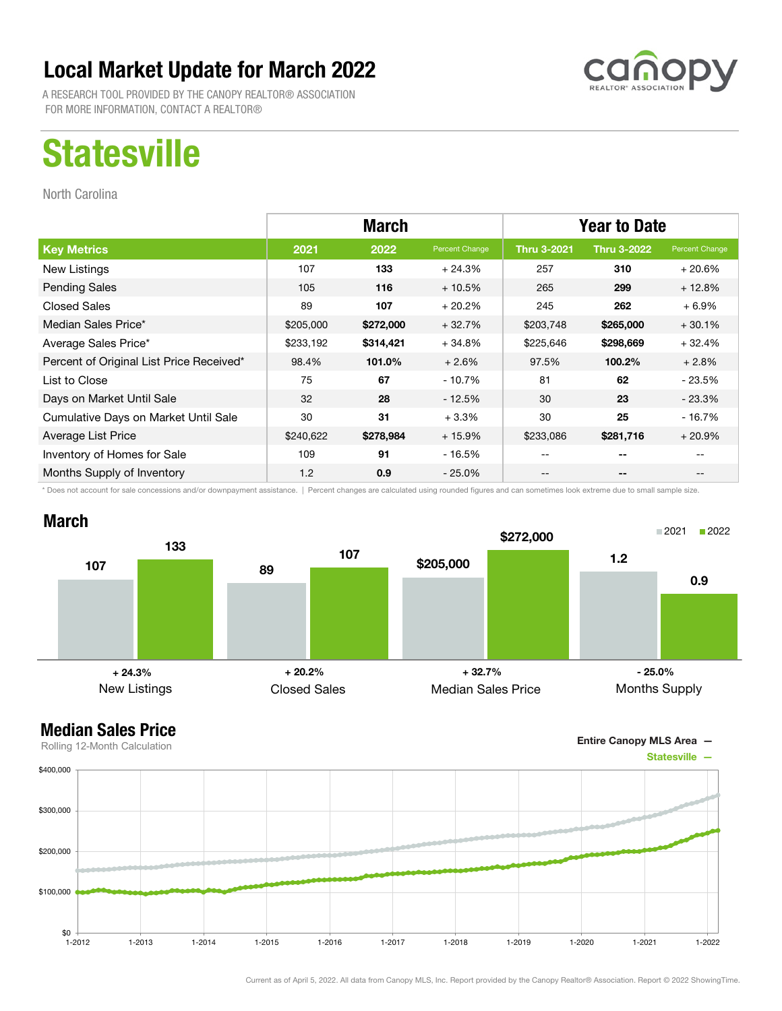A RESEARCH TOOL PROVIDED BY THE CANOPY REALTOR® ASSOCIATION FOR MORE INFORMATION, CONTACT A REALTOR®

## **Statesville**

North Carolina

|                                          | <b>March</b> |           |                | <b>Year to Date</b> |                    |                |
|------------------------------------------|--------------|-----------|----------------|---------------------|--------------------|----------------|
| <b>Key Metrics</b>                       | 2021         | 2022      | Percent Change | <b>Thru 3-2021</b>  | <b>Thru 3-2022</b> | Percent Change |
| New Listings                             | 107          | 133       | $+24.3%$       | 257                 | 310                | $+20.6%$       |
| <b>Pending Sales</b>                     | 105          | 116       | $+10.5%$       | 265                 | 299                | $+12.8%$       |
| <b>Closed Sales</b>                      | 89           | 107       | $+20.2%$       | 245                 | 262                | $+6.9\%$       |
| Median Sales Price*                      | \$205,000    | \$272,000 | $+32.7%$       | \$203,748           | \$265,000          | $+30.1%$       |
| Average Sales Price*                     | \$233,192    | \$314,421 | $+34.8%$       | \$225,646           | \$298,669          | $+32.4%$       |
| Percent of Original List Price Received* | 98.4%        | 101.0%    | $+2.6%$        | 97.5%               | 100.2%             | $+2.8%$        |
| List to Close                            | 75           | 67        | - 10.7%        | 81                  | 62                 | $-23.5%$       |
| Days on Market Until Sale                | 32           | 28        | $-12.5%$       | 30                  | 23                 | $-23.3%$       |
| Cumulative Days on Market Until Sale     | 30           | 31        | $+3.3%$        | 30                  | 25                 | $-16.7%$       |
| Average List Price                       | \$240,622    | \$278,984 | $+15.9%$       | \$233,086           | \$281,716          | $+20.9%$       |
| Inventory of Homes for Sale              | 109          | 91        | - 16.5%        | --                  | --                 |                |
| Months Supply of Inventory               | 1.2          | 0.9       | $-25.0\%$      | --                  | --                 |                |

\* Does not account for sale concessions and/or downpayment assistance. | Percent changes are calculated using rounded figures and can sometimes look extreme due to small sample size.



#### Median Sales Price

Entire Canopy MLS Area —



Rolling 12-Month Calculation

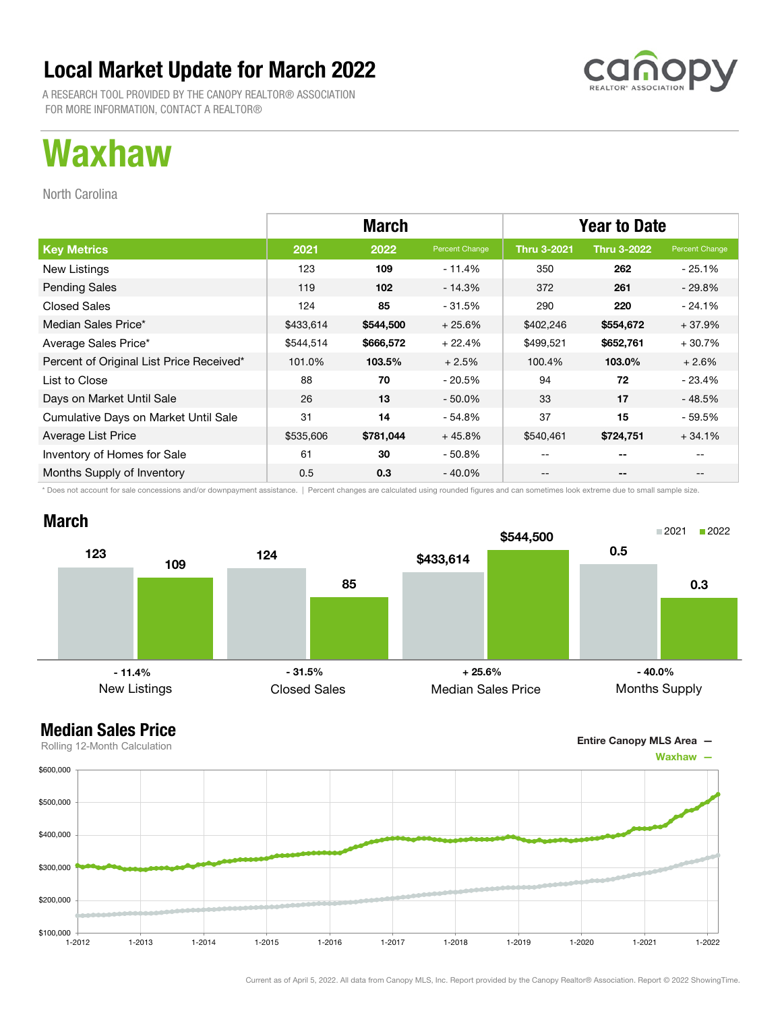A RESEARCH TOOL PROVIDED BY THE CANOPY REALTOR® ASSOCIATION FOR MORE INFORMATION, CONTACT A REALTOR®

## Waxhaw

North Carolina

|                                          | <b>March</b> |           |                | <b>Year to Date</b> |                    |                |
|------------------------------------------|--------------|-----------|----------------|---------------------|--------------------|----------------|
| <b>Key Metrics</b>                       | 2021         | 2022      | Percent Change | <b>Thru 3-2021</b>  | <b>Thru 3-2022</b> | Percent Change |
| New Listings                             | 123          | 109       | - 11.4%        | 350                 | 262                | $-25.1%$       |
| <b>Pending Sales</b>                     | 119          | 102       | $-14.3%$       | 372                 | 261                | $-29.8%$       |
| <b>Closed Sales</b>                      | 124          | 85        | - 31.5%        | 290                 | 220                | $-24.1\%$      |
| Median Sales Price*                      | \$433,614    | \$544,500 | $+25.6%$       | \$402,246           | \$554,672          | $+37.9%$       |
| Average Sales Price*                     | \$544,514    | \$666,572 | $+22.4%$       | \$499,521           | \$652,761          | $+30.7%$       |
| Percent of Original List Price Received* | 101.0%       | 103.5%    | $+2.5%$        | 100.4%              | 103.0%             | $+2.6%$        |
| List to Close                            | 88           | 70        | - 20.5%        | 94                  | 72                 | - 23.4%        |
| Days on Market Until Sale                | 26           | 13        | $-50.0\%$      | 33                  | 17                 | $-48.5%$       |
| Cumulative Days on Market Until Sale     | 31           | 14        | $-54.8%$       | 37                  | 15                 | - 59.5%        |
| Average List Price                       | \$535,606    | \$781,044 | $+45.8%$       | \$540,461           | \$724,751          | $+34.1%$       |
| Inventory of Homes for Sale              | 61           | 30        | $-50.8%$       | $- -$               | $- -$              |                |
| Months Supply of Inventory               | 0.5          | 0.3       | $-40.0\%$      | --                  | --                 |                |

\* Does not account for sale concessions and/or downpayment assistance. | Percent changes are calculated using rounded figures and can sometimes look extreme due to small sample size.



### Median Sales Price





Rolling 12-Month Calculation

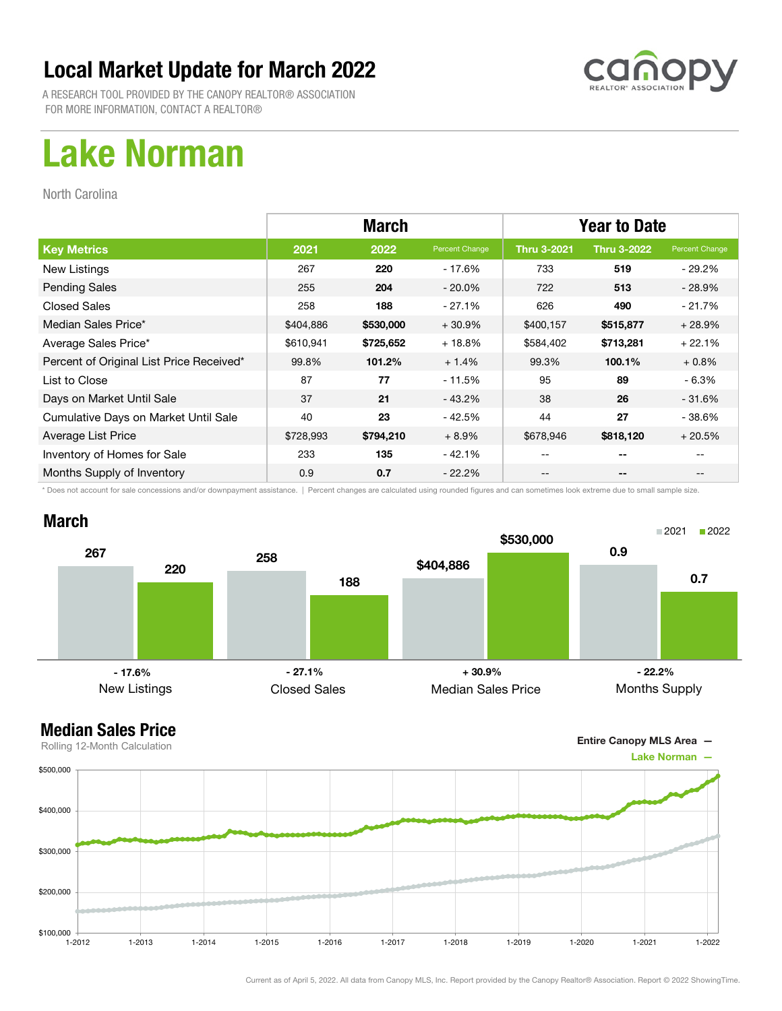

A RESEARCH TOOL PROVIDED BY THE CANOPY REALTOR® ASSOCIATION FOR MORE INFORMATION, CONTACT A REALTOR®

## Lake Norman

North Carolina

|                                          | <b>March</b> |           |                | <b>Year to Date</b> |                    |                |
|------------------------------------------|--------------|-----------|----------------|---------------------|--------------------|----------------|
| <b>Key Metrics</b>                       | 2021         | 2022      | Percent Change | <b>Thru 3-2021</b>  | <b>Thru 3-2022</b> | Percent Change |
| New Listings                             | 267          | 220       | - 17.6%        | 733                 | 519                | - 29.2%        |
| <b>Pending Sales</b>                     | 255          | 204       | $-20.0\%$      | 722                 | 513                | $-28.9%$       |
| <b>Closed Sales</b>                      | 258          | 188       | $-27.1%$       | 626                 | 490                | $-21.7%$       |
| Median Sales Price*                      | \$404,886    | \$530,000 | $+30.9%$       | \$400,157           | \$515,877          | $+28.9%$       |
| Average Sales Price*                     | \$610,941    | \$725,652 | $+18.8%$       | \$584,402           | \$713,281          | $+22.1%$       |
| Percent of Original List Price Received* | 99.8%        | 101.2%    | $+1.4%$        | 99.3%               | 100.1%             | $+0.8%$        |
| List to Close                            | 87           | 77        | $-11.5%$       | 95                  | 89                 | - 6.3%         |
| Days on Market Until Sale                | 37           | 21        | $-43.2%$       | 38                  | 26                 | - 31.6%        |
| Cumulative Days on Market Until Sale     | 40           | 23        | $-42.5%$       | 44                  | 27                 | - 38.6%        |
| Average List Price                       | \$728,993    | \$794,210 | $+8.9%$        | \$678,946           | \$818,120          | $+20.5%$       |
| Inventory of Homes for Sale              | 233          | 135       | $-42.1%$       |                     | --                 |                |
| Months Supply of Inventory               | 0.9          | 0.7       | $-22.2%$       |                     | --                 |                |

\* Does not account for sale concessions and/or downpayment assistance. | Percent changes are calculated using rounded figures and can sometimes look extreme due to small sample size.



Entire Canopy MLS Area —

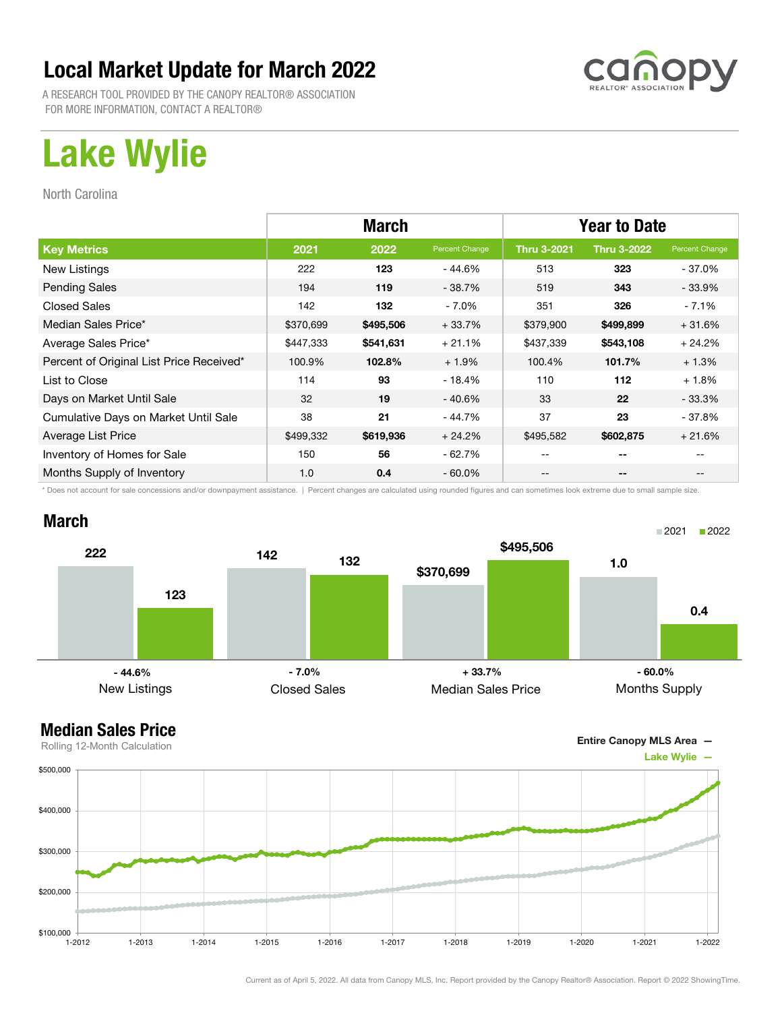

A RESEARCH TOOL PROVIDED BY THE CANOPY REALTOR® ASSOCIATION FOR MORE INFORMATION, CONTACT A REALTOR®

# Lake Wylie

North Carolina

|                                          | <b>March</b> |           |                | <b>Year to Date</b> |                    |                |
|------------------------------------------|--------------|-----------|----------------|---------------------|--------------------|----------------|
| <b>Key Metrics</b>                       | 2021         | 2022      | Percent Change | <b>Thru 3-2021</b>  | <b>Thru 3-2022</b> | Percent Change |
| New Listings                             | 222          | 123       | - 44.6%        | 513                 | 323                | - 37.0%        |
| <b>Pending Sales</b>                     | 194          | 119       | $-38.7%$       | 519                 | 343                | $-33.9%$       |
| <b>Closed Sales</b>                      | 142          | 132       | $-7.0\%$       | 351                 | 326                | - 7.1%         |
| Median Sales Price*                      | \$370,699    | \$495,506 | $+33.7%$       | \$379,900           | \$499,899          | $+31.6%$       |
| Average Sales Price*                     | \$447,333    | \$541,631 | $+21.1%$       | \$437,339           | \$543,108          | $+24.2%$       |
| Percent of Original List Price Received* | 100.9%       | 102.8%    | $+1.9%$        | 100.4%              | 101.7%             | $+1.3%$        |
| List to Close                            | 114          | 93        | $-18.4%$       | 110                 | 112                | $+1.8%$        |
| Days on Market Until Sale                | 32           | 19        | $-40.6%$       | 33                  | 22                 | - 33.3%        |
| Cumulative Days on Market Until Sale     | 38           | 21        | $-44.7%$       | 37                  | 23                 | - 37.8%        |
| Average List Price                       | \$499,332    | \$619,936 | $+24.2%$       | \$495,582           | \$602,875          | $+21.6%$       |
| Inventory of Homes for Sale              | 150          | 56        | $-62.7%$       |                     | --                 |                |
| Months Supply of Inventory               | 1.0          | 0.4       | $-60.0\%$      | --                  | --                 |                |

\* Does not account for sale concessions and/or downpayment assistance. | Percent changes are calculated using rounded figures and can sometimes look extreme due to small sample size.

### March





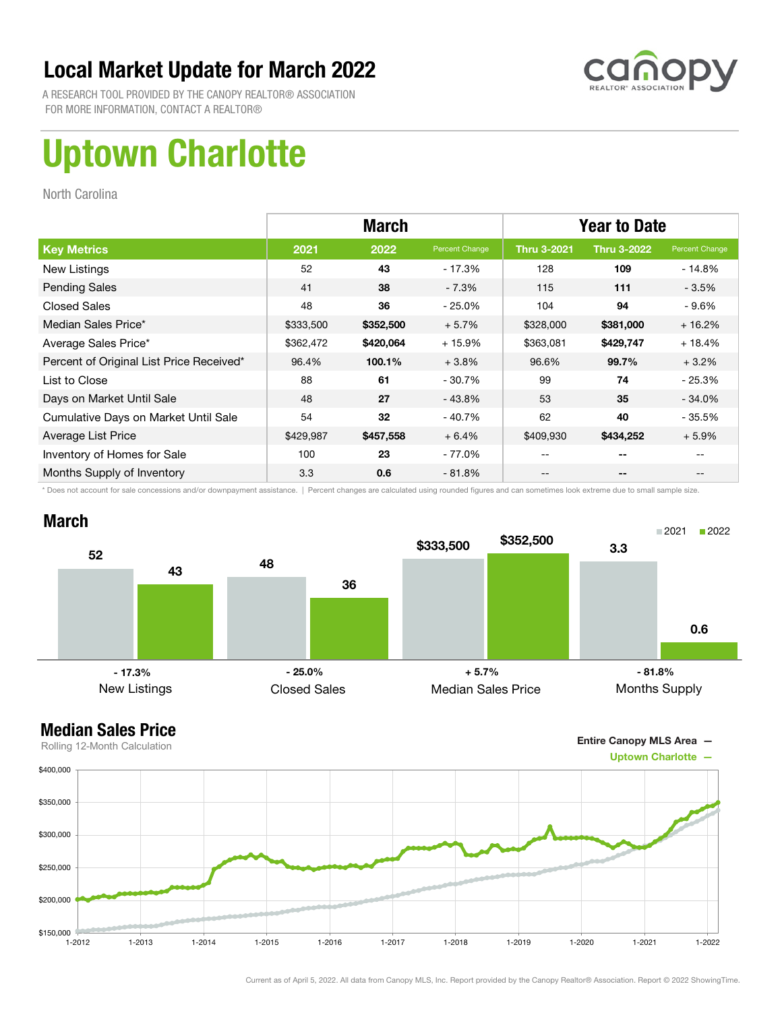

A RESEARCH TOOL PROVIDED BY THE CANOPY REALTOR® ASSOCIATION FOR MORE INFORMATION, CONTACT A REALTOR®

# Uptown Charlotte

North Carolina

|                                          | <b>March</b> |           |                | <b>Year to Date</b> |                    |                |
|------------------------------------------|--------------|-----------|----------------|---------------------|--------------------|----------------|
| <b>Key Metrics</b>                       | 2021         | 2022      | Percent Change | <b>Thru 3-2021</b>  | <b>Thru 3-2022</b> | Percent Change |
| New Listings                             | 52           | 43        | - 17.3%        | 128                 | 109                | $-14.8%$       |
| <b>Pending Sales</b>                     | 41           | 38        | $-7.3%$        | 115                 | 111                | $-3.5%$        |
| <b>Closed Sales</b>                      | 48           | 36        | $-25.0%$       | 104                 | 94                 | - 9.6%         |
| Median Sales Price*                      | \$333,500    | \$352,500 | $+5.7%$        | \$328,000           | \$381,000          | $+16.2%$       |
| Average Sales Price*                     | \$362,472    | \$420,064 | $+15.9%$       | \$363,081           | \$429,747          | $+18.4%$       |
| Percent of Original List Price Received* | 96.4%        | 100.1%    | $+3.8%$        | 96.6%               | 99.7%              | $+3.2%$        |
| List to Close                            | 88           | 61        | $-30.7%$       | 99                  | 74                 | - 25.3%        |
| Days on Market Until Sale                | 48           | 27        | $-43.8%$       | 53                  | 35                 | $-34.0\%$      |
| Cumulative Days on Market Until Sale     | 54           | 32        | $-40.7%$       | 62                  | 40                 | - 35.5%        |
| Average List Price                       | \$429,987    | \$457,558 | $+6.4%$        | \$409,930           | \$434,252          | $+5.9%$        |
| Inventory of Homes for Sale              | 100          | 23        | - 77.0%        |                     | --                 |                |
| Months Supply of Inventory               | 3.3          | 0.6       | $-81.8%$       |                     | --                 |                |

\* Does not account for sale concessions and/or downpayment assistance. | Percent changes are calculated using rounded figures and can sometimes look extreme due to small sample size.

### March



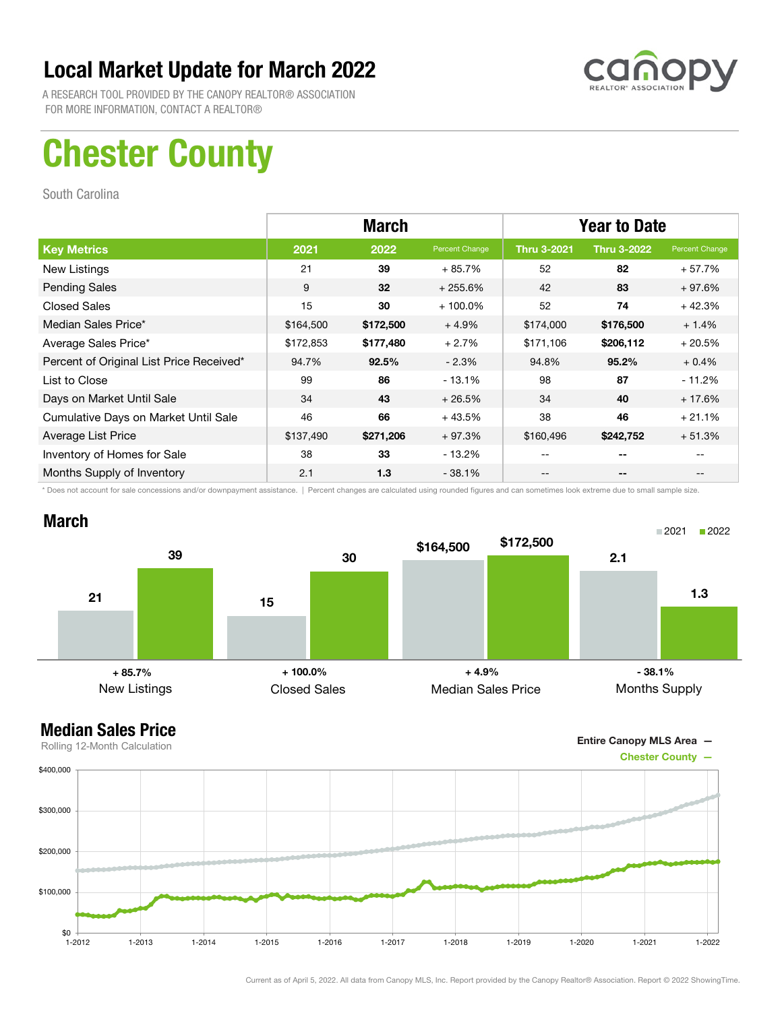

A RESEARCH TOOL PROVIDED BY THE CANOPY REALTOR® ASSOCIATION FOR MORE INFORMATION, CONTACT A REALTOR®

## Chester County

South Carolina

|                                          | <b>March</b> |           |                | <b>Year to Date</b> |                    |                |
|------------------------------------------|--------------|-----------|----------------|---------------------|--------------------|----------------|
| <b>Key Metrics</b>                       | 2021         | 2022      | Percent Change | <b>Thru 3-2021</b>  | <b>Thru 3-2022</b> | Percent Change |
| New Listings                             | 21           | 39        | $+85.7%$       | 52                  | 82                 | $+57.7%$       |
| <b>Pending Sales</b>                     | 9            | 32        | $+255.6%$      | 42                  | 83                 | $+97.6%$       |
| <b>Closed Sales</b>                      | 15           | 30        | $+100.0\%$     | 52                  | 74                 | $+42.3%$       |
| Median Sales Price*                      | \$164,500    | \$172,500 | $+4.9%$        | \$174,000           | \$176,500          | $+1.4%$        |
| Average Sales Price*                     | \$172,853    | \$177,480 | $+2.7%$        | \$171,106           | \$206,112          | $+20.5%$       |
| Percent of Original List Price Received* | 94.7%        | 92.5%     | $-2.3%$        | 94.8%               | 95.2%              | $+0.4%$        |
| List to Close                            | 99           | 86        | $-13.1%$       | 98                  | 87                 | $-11.2%$       |
| Days on Market Until Sale                | 34           | 43        | $+26.5%$       | 34                  | 40                 | $+17.6%$       |
| Cumulative Days on Market Until Sale     | 46           | 66        | $+43.5%$       | 38                  | 46                 | $+21.1%$       |
| Average List Price                       | \$137,490    | \$271,206 | $+97.3%$       | \$160,496           | \$242,752          | $+51.3%$       |
| Inventory of Homes for Sale              | 38           | 33        | - 13.2%        | --                  | --                 |                |
| Months Supply of Inventory               | 2.1          | 1.3       | $-38.1%$       | --                  | --                 |                |

\* Does not account for sale concessions and/or downpayment assistance. | Percent changes are calculated using rounded figures and can sometimes look extreme due to small sample size.

### March



Entire Canopy MLS Area —

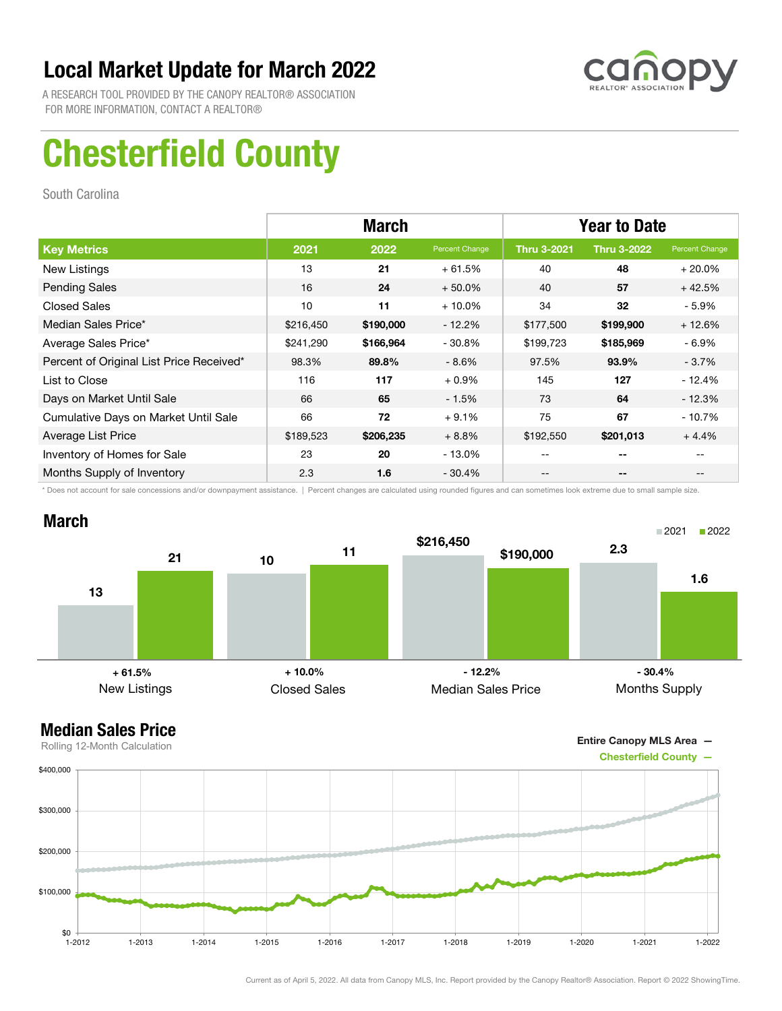

A RESEARCH TOOL PROVIDED BY THE CANOPY REALTOR® ASSOCIATION FOR MORE INFORMATION, CONTACT A REALTOR®

# Chesterfield County

South Carolina

|                                          |           | <b>March</b> |                | <b>Year to Date</b> |                    |                |  |
|------------------------------------------|-----------|--------------|----------------|---------------------|--------------------|----------------|--|
| <b>Key Metrics</b>                       | 2021      | 2022         | Percent Change | <b>Thru 3-2021</b>  | <b>Thru 3-2022</b> | Percent Change |  |
| New Listings                             | 13        | 21           | $+61.5%$       | 40                  | 48                 | $+20.0%$       |  |
| <b>Pending Sales</b>                     | 16        | 24           | $+50.0%$       | 40                  | 57                 | $+42.5%$       |  |
| <b>Closed Sales</b>                      | 10        | 11           | $+10.0\%$      | 34                  | 32                 | $-5.9\%$       |  |
| Median Sales Price*                      | \$216,450 | \$190,000    | $-12.2%$       | \$177,500           | \$199,900          | $+12.6%$       |  |
| Average Sales Price*                     | \$241,290 | \$166,964    | $-30.8\%$      | \$199,723           | \$185,969          | $-6.9%$        |  |
| Percent of Original List Price Received* | 98.3%     | 89.8%        | $-8.6\%$       | 97.5%               | 93.9%              | $-3.7\%$       |  |
| List to Close                            | 116       | 117          | $+0.9%$        | 145                 | 127                | - 12.4%        |  |
| Days on Market Until Sale                | 66        | 65           | $-1.5%$        | 73                  | 64                 | $-12.3%$       |  |
| Cumulative Days on Market Until Sale     | 66        | 72           | $+9.1%$        | 75                  | 67                 | $-10.7%$       |  |
| Average List Price                       | \$189,523 | \$206,235    | $+8.8%$        | \$192,550           | \$201,013          | $+4.4%$        |  |
| Inventory of Homes for Sale              | 23        | 20           | $-13.0%$       | --                  | --                 |                |  |
| Months Supply of Inventory               | 2.3       | 1.6          | $-30.4%$       | --                  | --                 | $- -$          |  |

\* Does not account for sale concessions and/or downpayment assistance. | Percent changes are calculated using rounded figures and can sometimes look extreme due to small sample size.

### March



Entire Canopy MLS Area —

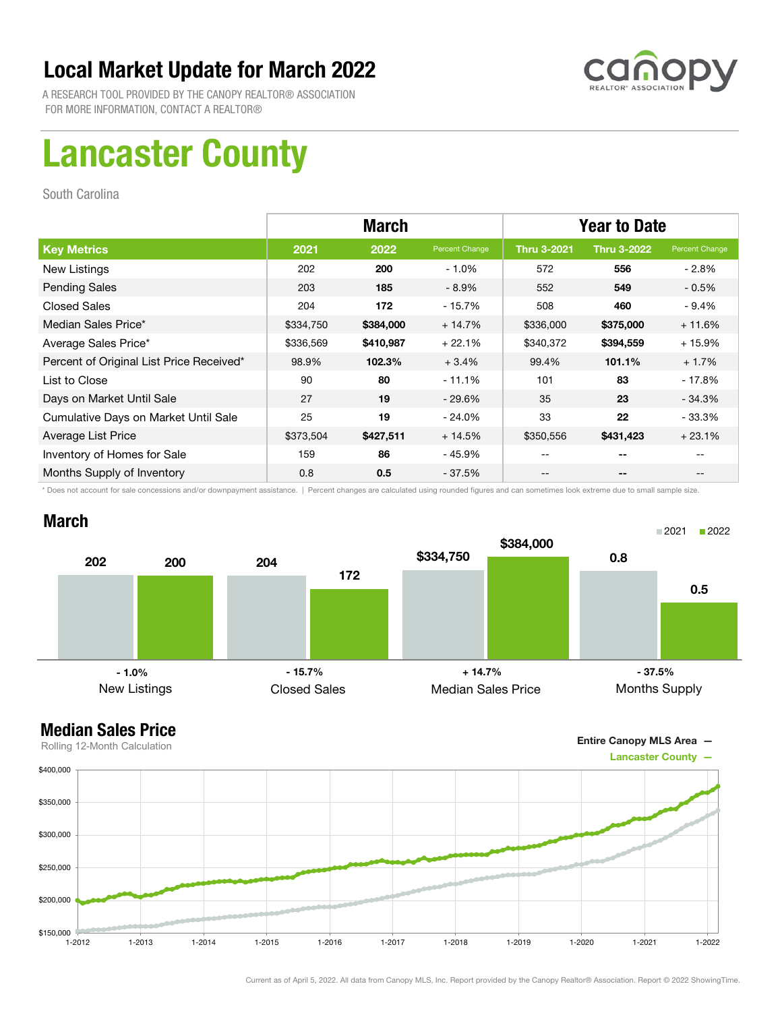

A RESEARCH TOOL PROVIDED BY THE CANOPY REALTOR® ASSOCIATION FOR MORE INFORMATION, CONTACT A REALTOR®

# Lancaster County

South Carolina

|                                          | <b>March</b> |           |                | <b>Year to Date</b> |                    |                |
|------------------------------------------|--------------|-----------|----------------|---------------------|--------------------|----------------|
| <b>Key Metrics</b>                       | 2021         | 2022      | Percent Change | <b>Thru 3-2021</b>  | <b>Thru 3-2022</b> | Percent Change |
| New Listings                             | 202          | 200       | $-1.0%$        | 572                 | 556                | $-2.8%$        |
| <b>Pending Sales</b>                     | 203          | 185       | $-8.9%$        | 552                 | 549                | $-0.5%$        |
| <b>Closed Sales</b>                      | 204          | 172       | $-15.7%$       | 508                 | 460                | $-9.4%$        |
| Median Sales Price*                      | \$334,750    | \$384,000 | $+14.7%$       | \$336,000           | \$375,000          | $+11.6%$       |
| Average Sales Price*                     | \$336,569    | \$410,987 | $+22.1%$       | \$340,372           | \$394,559          | $+15.9%$       |
| Percent of Original List Price Received* | 98.9%        | 102.3%    | $+3.4%$        | 99.4%               | 101.1%             | $+1.7%$        |
| List to Close                            | 90           | 80        | $-11.1%$       | 101                 | 83                 | $-17.8%$       |
| Days on Market Until Sale                | 27           | 19        | $-29.6\%$      | 35                  | 23                 | $-34.3%$       |
| Cumulative Days on Market Until Sale     | 25           | 19        | $-24.0\%$      | 33                  | 22                 | - 33.3%        |
| Average List Price                       | \$373,504    | \$427,511 | $+14.5%$       | \$350,556           | \$431,423          | $+23.1%$       |
| Inventory of Homes for Sale              | 159          | 86        | - 45.9%        | --                  | --                 |                |
| Months Supply of Inventory               | 0.8          | 0.5       | $-37.5%$       | --                  | --                 |                |

\* Does not account for sale concessions and/or downpayment assistance. | Percent changes are calculated using rounded figures and can sometimes look extreme due to small sample size.

### March





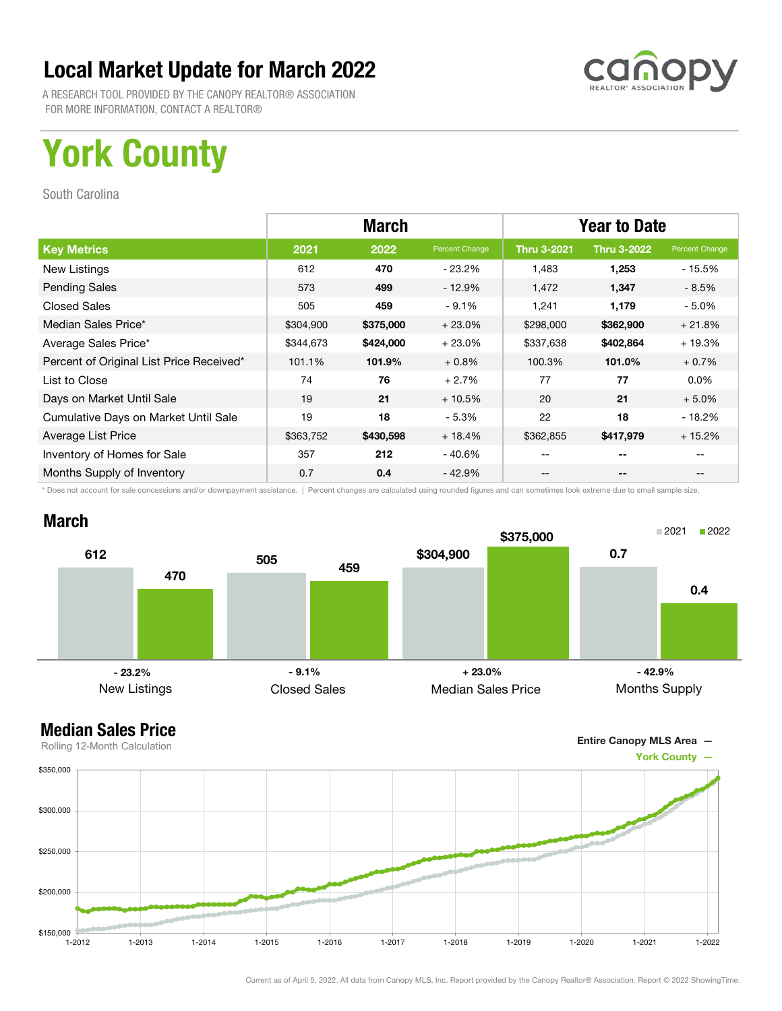

A RESEARCH TOOL PROVIDED BY THE CANOPY REALTOR® ASSOCIATION FOR MORE INFORMATION, CONTACT A REALTOR®

# York County

South Carolina

|                                          | <b>March</b> |           |                | <b>Year to Date</b> |                    |                |
|------------------------------------------|--------------|-----------|----------------|---------------------|--------------------|----------------|
| <b>Key Metrics</b>                       | 2021         | 2022      | Percent Change | <b>Thru 3-2021</b>  | <b>Thru 3-2022</b> | Percent Change |
| New Listings                             | 612          | 470       | $-23.2\%$      | 1.483               | 1,253              | - 15.5%        |
| <b>Pending Sales</b>                     | 573          | 499       | $-12.9%$       | 1,472               | 1,347              | $-8.5%$        |
| <b>Closed Sales</b>                      | 505          | 459       | $-9.1%$        | 1,241               | 1,179              | $-5.0%$        |
| Median Sales Price*                      | \$304,900    | \$375,000 | $+23.0%$       | \$298,000           | \$362,900          | $+21.8%$       |
| Average Sales Price*                     | \$344,673    | \$424,000 | $+23.0%$       | \$337,638           | \$402,864          | $+19.3%$       |
| Percent of Original List Price Received* | 101.1%       | 101.9%    | $+0.8%$        | 100.3%              | 101.0%             | $+0.7%$        |
| List to Close                            | 74           | 76        | $+2.7%$        | 77                  | 77                 | $0.0\%$        |
| Days on Market Until Sale                | 19           | 21        | $+10.5%$       | 20                  | 21                 | $+5.0%$        |
| Cumulative Days on Market Until Sale     | 19           | 18        | $-5.3%$        | 22                  | 18                 | $-18.2%$       |
| Average List Price                       | \$363,752    | \$430,598 | $+18.4%$       | \$362,855           | \$417,979          | $+15.2%$       |
| Inventory of Homes for Sale              | 357          | 212       | - 40.6%        | --                  | --                 |                |
| Months Supply of Inventory               | 0.7          | 0.4       | - 42.9%        | --                  | --                 |                |

\* Does not account for sale concessions and/or downpayment assistance. | Percent changes are calculated using rounded figures and can sometimes look extreme due to small sample size.



### Median Sales Price

Entire Canopy MLS Area —

0.4

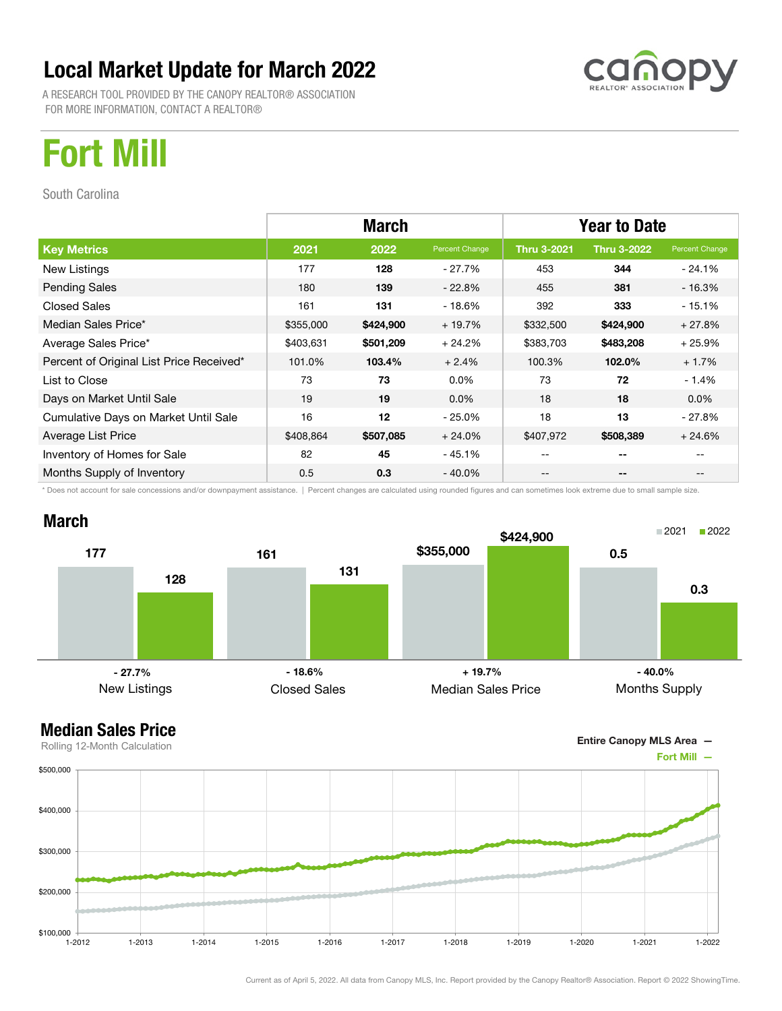A RESEARCH TOOL PROVIDED BY THE CANOPY REALTOR® ASSOCIATION FOR MORE INFORMATION, CONTACT A REALTOR®

# Fort Mill

South Carolina

|                                          | <b>March</b> |           |                | <b>Year to Date</b> |                    |                |
|------------------------------------------|--------------|-----------|----------------|---------------------|--------------------|----------------|
| <b>Key Metrics</b>                       | 2021         | 2022      | Percent Change | <b>Thru 3-2021</b>  | <b>Thru 3-2022</b> | Percent Change |
| New Listings                             | 177          | 128       | - 27.7%        | 453                 | 344                | $-24.1\%$      |
| <b>Pending Sales</b>                     | 180          | 139       | $-22.8\%$      | 455                 | 381                | $-16.3%$       |
| <b>Closed Sales</b>                      | 161          | 131       | - 18.6%        | 392                 | 333                | $-15.1%$       |
| Median Sales Price*                      | \$355,000    | \$424,900 | $+19.7%$       | \$332,500           | \$424,900          | $+27.8%$       |
| Average Sales Price*                     | \$403,631    | \$501,209 | $+24.2%$       | \$383,703           | \$483,208          | $+25.9%$       |
| Percent of Original List Price Received* | 101.0%       | 103.4%    | $+2.4%$        | 100.3%              | 102.0%             | $+1.7%$        |
| List to Close                            | 73           | 73        | $0.0\%$        | 73                  | 72                 | $-1.4%$        |
| Days on Market Until Sale                | 19           | 19        | $0.0\%$        | 18                  | 18                 | $0.0\%$        |
| Cumulative Days on Market Until Sale     | 16           | 12        | $-25.0\%$      | 18                  | 13                 | $-27.8%$       |
| Average List Price                       | \$408,864    | \$507,085 | $+24.0\%$      | \$407,972           | \$508,389          | $+24.6%$       |
| Inventory of Homes for Sale              | 82           | 45        | $-45.1%$       |                     | $- -$              |                |
| Months Supply of Inventory               | 0.5          | 0.3       | $-40.0\%$      | --                  | --                 | --             |

\* Does not account for sale concessions and/or downpayment assistance. | Percent changes are calculated using rounded figures and can sometimes look extreme due to small sample size.



### Median Sales Price





Current as of April 5, 2022. All data from Canopy MLS, Inc. Report provided by the Canopy Realtor® Association. Report © 2022 ShowingTime.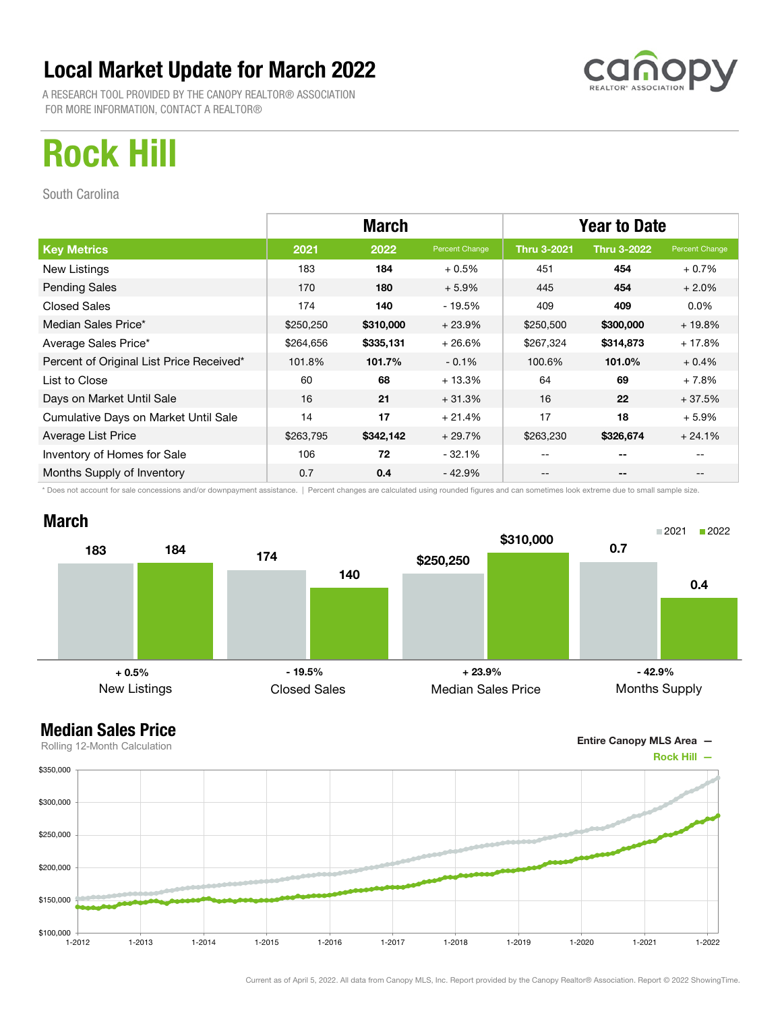A RESEARCH TOOL PROVIDED BY THE CANOPY REALTOR® ASSOCIATION FOR MORE INFORMATION, CONTACT A REALTOR®

# Rock Hill

South Carolina

|                                          | <b>March</b> |           |                | <b>Year to Date</b> |                    |                |
|------------------------------------------|--------------|-----------|----------------|---------------------|--------------------|----------------|
| <b>Key Metrics</b>                       | 2021         | 2022      | Percent Change | <b>Thru 3-2021</b>  | <b>Thru 3-2022</b> | Percent Change |
| New Listings                             | 183          | 184       | $+0.5%$        | 451                 | 454                | $+0.7%$        |
| <b>Pending Sales</b>                     | 170          | 180       | $+5.9%$        | 445                 | 454                | $+2.0%$        |
| <b>Closed Sales</b>                      | 174          | 140       | $-19.5%$       | 409                 | 409                | $0.0\%$        |
| Median Sales Price*                      | \$250,250    | \$310,000 | $+23.9%$       | \$250,500           | \$300,000          | $+19.8%$       |
| Average Sales Price*                     | \$264,656    | \$335,131 | $+26.6%$       | \$267,324           | \$314,873          | $+17.8%$       |
| Percent of Original List Price Received* | 101.8%       | 101.7%    | $-0.1%$        | 100.6%              | 101.0%             | $+0.4%$        |
| List to Close                            | 60           | 68        | $+13.3%$       | 64                  | 69                 | $+7.8%$        |
| Days on Market Until Sale                | 16           | 21        | $+31.3%$       | 16                  | 22                 | $+37.5%$       |
| Cumulative Days on Market Until Sale     | 14           | 17        | $+21.4%$       | 17                  | 18                 | $+5.9%$        |
| Average List Price                       | \$263,795    | \$342,142 | $+29.7%$       | \$263,230           | \$326,674          | $+24.1%$       |
| Inventory of Homes for Sale              | 106          | 72        | $-32.1%$       | --                  | $- -$              |                |
| Months Supply of Inventory               | 0.7          | 0.4       | $-42.9%$       | --                  | --                 | --             |

\* Does not account for sale concessions and/or downpayment assistance. | Percent changes are calculated using rounded figures and can sometimes look extreme due to small sample size.

### March





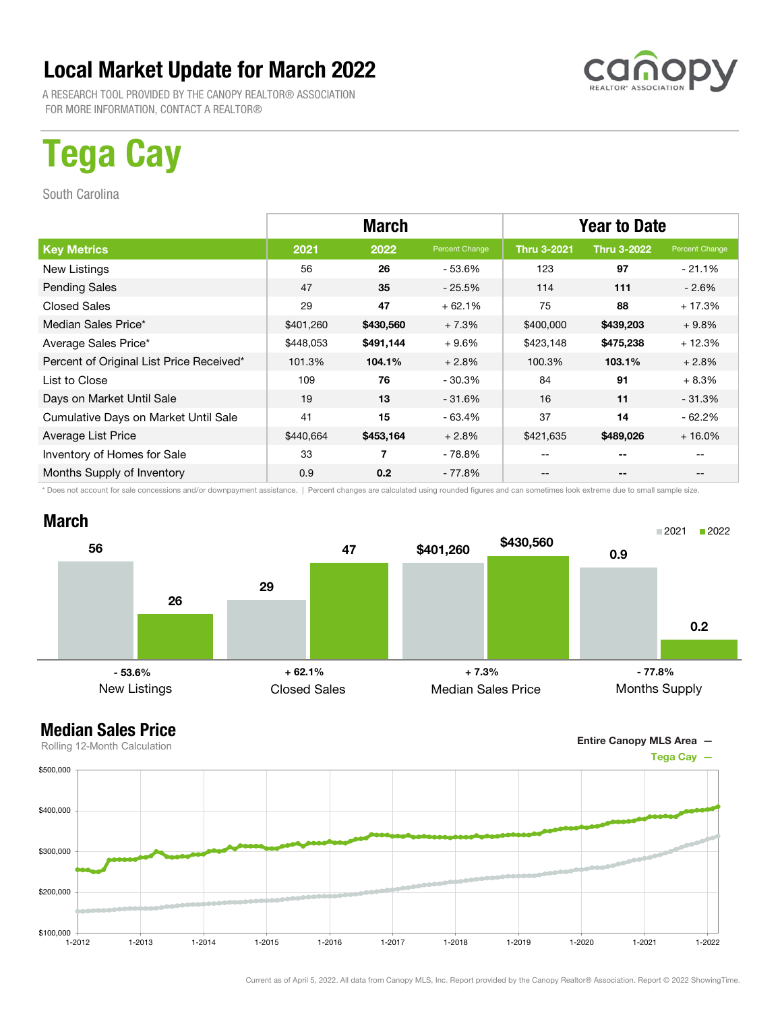A RESEARCH TOOL PROVIDED BY THE CANOPY REALTOR® ASSOCIATION FOR MORE INFORMATION, CONTACT A REALTOR®

# Tega Cay

South Carolina

|                                          | <b>March</b> |                  |                | <b>Year to Date</b> |                    |                |
|------------------------------------------|--------------|------------------|----------------|---------------------|--------------------|----------------|
| <b>Key Metrics</b>                       | 2021         | 2022             | Percent Change | <b>Thru 3-2021</b>  | <b>Thru 3-2022</b> | Percent Change |
| New Listings                             | 56           | 26               | $-53.6%$       | 123                 | 97                 | $-21.1%$       |
| <b>Pending Sales</b>                     | 47           | 35               | $-25.5\%$      | 114                 | 111                | $-2.6\%$       |
| <b>Closed Sales</b>                      | 29           | 47               | $+62.1%$       | 75                  | 88                 | $+17.3%$       |
| Median Sales Price*                      | \$401,260    | \$430,560        | $+7.3%$        | \$400,000           | \$439,203          | $+9.8%$        |
| Average Sales Price*                     | \$448,053    | \$491,144        | $+9.6%$        | \$423,148           | \$475,238          | $+12.3%$       |
| Percent of Original List Price Received* | 101.3%       | 104.1%           | $+2.8%$        | 100.3%              | 103.1%             | $+2.8%$        |
| List to Close                            | 109          | 76               | $-30.3%$       | 84                  | 91                 | $+8.3%$        |
| Days on Market Until Sale                | 19           | 13               | $-31.6%$       | 16                  | 11                 | $-31.3%$       |
| Cumulative Days on Market Until Sale     | 41           | 15               | $-63.4%$       | 37                  | 14                 | $-62.2%$       |
| Average List Price                       | \$440,664    | \$453,164        | $+2.8%$        | \$421,635           | \$489,026          | $+16.0%$       |
| Inventory of Homes for Sale              | 33           | 7                | - 78.8%        | --                  | --                 |                |
| Months Supply of Inventory               | 0.9          | 0.2 <sub>0</sub> | $-77.8%$       | --                  | --                 |                |

\* Does not account for sale concessions and/or downpayment assistance. | Percent changes are calculated using rounded figures and can sometimes look extreme due to small sample size.



### Median Sales Price





Rolling 12-Month Calculation